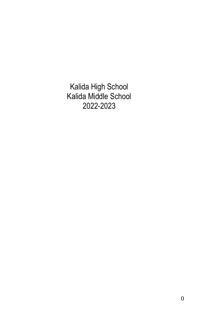Kalida High School Kalida Middle School 2022-2023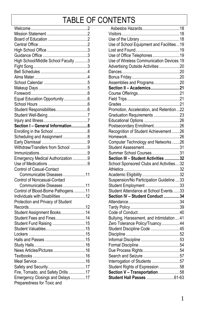## TABLE OF CONTENTS

| High School/Middle School Faculty 3                      |  |
|----------------------------------------------------------|--|
|                                                          |  |
|                                                          |  |
|                                                          |  |
|                                                          |  |
|                                                          |  |
|                                                          |  |
|                                                          |  |
| Equal Education Opportunity 6                            |  |
|                                                          |  |
|                                                          |  |
|                                                          |  |
|                                                          |  |
| Section I - General Information8                         |  |
|                                                          |  |
| Scheduling and Assignment 8                              |  |
|                                                          |  |
| Withdraw/Transfers from School 9                         |  |
|                                                          |  |
| Emergency Medical Authorization 9                        |  |
|                                                          |  |
| Control of Casual-Contact                                |  |
| Communicable Diseases 11                                 |  |
|                                                          |  |
| Control of Noncasual-Contact<br>Communicable Diseases 11 |  |
|                                                          |  |
| Control of Blood-Borne Pathogens11                       |  |
| Individuals with Disabilities 12                         |  |
| Protection and Privacy of Student                        |  |
|                                                          |  |
| Student Assignment Books14                               |  |
| Student Fees and Fines14                                 |  |
| Student Fund Raising 15                                  |  |
|                                                          |  |
|                                                          |  |
|                                                          |  |
|                                                          |  |
|                                                          |  |
|                                                          |  |
|                                                          |  |
|                                                          |  |
| Fire, Tornado, and Safety Drills17                       |  |
|                                                          |  |
| Emergency Closings and Delays17                          |  |
| Preparedness for Toxic and                               |  |

| Use of School Equipment and Facilities19                            |  |
|---------------------------------------------------------------------|--|
|                                                                     |  |
| Use of Office Telephones 19                                         |  |
| Use of Wireless Communication Devices.19                            |  |
| Advertising Outside Activities 20                                   |  |
|                                                                     |  |
|                                                                     |  |
| Assemblies and Programs20                                           |  |
| Section II - Academics21                                            |  |
|                                                                     |  |
|                                                                     |  |
|                                                                     |  |
| Promotion, Acceleration, and Retention22                            |  |
| Graduation Requirements 23                                          |  |
|                                                                     |  |
|                                                                     |  |
| Postsecondary Enrollment26<br>Recognition of Student Achievement 26 |  |
|                                                                     |  |
| Computer Technology and Networks 26                                 |  |
| Student Assessment31                                                |  |
| Summer School Courses31                                             |  |
| Section III - Student Activities 32                                 |  |
| School Sponsored Clubs and Activities32                             |  |
|                                                                     |  |
|                                                                     |  |
| Suspension/No Participation Guideline 33                            |  |
| Student Employment 33                                               |  |
| Student Attendance at School Events33                               |  |
| Section IV - Student Conduct 34                                     |  |
|                                                                     |  |
|                                                                     |  |
|                                                                     |  |
| Bullying, Harassment, and Intimidation  41                          |  |
| Zero Tolerance Policy/Truancy44                                     |  |
| Student Discipline Code 45                                          |  |
|                                                                     |  |
|                                                                     |  |
|                                                                     |  |
| Due Process Rights54                                                |  |
| Search and Seizure 57                                               |  |
| Interrogation of Students 57                                        |  |
| Student Rights of Expression 58                                     |  |
| Section V - Transportation58                                        |  |
|                                                                     |  |
|                                                                     |  |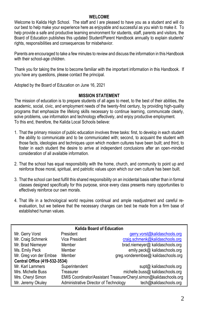#### **WELCOME**

Welcome to Kalida High School. The staff and I are pleased to have you as a student and will do our best to help make your experience here as enjoyable and successful as you wish to make it. To help provide a safe and productive learning environment for students, staff, parents and visitors, the Board of Education publishes this updated Student/Parent Handbook annually to explain students' rights, responsibilities and consequences for misbehavior.

Parents are encouraged to take a few minutes to review and discuss the information in this Handbook with their school-age children.

Thank you for taking the time to become familiar with the important information in this Handbook. If you have any questions, please contact the principal.

Adopted by the Board of Education on June 16, 2021

#### **MISSION STATEMENT**

The mission of education is to prepare students of all ages to meet, to the best of their abilities, the academic, social, civic, and employment needs of the twenty-first century, by providing high-quality programs that emphasize the lifelong skills necessary to continue learning, communicate clearly, solve problems, use information and technology effectively, and enjoy productive employment. To this end, therefore, the Kalida Local Schools believe:

- 1. That the primary mission of public education involves three tasks: first, to develop in each student the ability to communicate and to be communicated with; second, to acquaint the student with those facts, ideologies and techniques upon which modern cultures have been built; and third, to foster in each student the desire to arrive at independent conclusions after an open-minded consideration of all available information.
- 2. That the school has equal responsibility with the home, church, and community to point up and reinforce those moral, spiritual, and patriotic values upon which our own culture has been built.
- 3. That the school can best fulfill this shared responsibility on an incidental basis rather than in formal classes designed specifically for this purpose, since every class presents many opportunities to effectively reinforce our own morals.
- 4. That life in a technological world requires continual and ample readjustment and careful reevaluation, but we believe that the necessary changes can best be made from a firm base of established human values.

| <b>Kalida Board of Education</b> |                                       |                                                                    |  |  |  |
|----------------------------------|---------------------------------------|--------------------------------------------------------------------|--|--|--|
| Mr. Gerry Vorst                  | President                             | gerry.vorst@kalidaschools.org                                      |  |  |  |
| Mr. Craig Schmenk                | <b>Vice President</b>                 | craig.schmenk@kalidaschools.org                                    |  |  |  |
| Mr. Brad Niemeyer                | Member                                | brad.niemeyer@ kalidaschools.org                                   |  |  |  |
| Ms. Emily Peck                   | Member                                | emily.peck@ kalidaschools.org                                      |  |  |  |
| Mr. Greg von der Embse           | Member                                | greg.vonderembse@ kalidaschools.org                                |  |  |  |
| Central Office (419-532-3534)    |                                       |                                                                    |  |  |  |
| Mr. Karl Lammers                 | Superintendent                        | supt@ kalidaschools.org                                            |  |  |  |
| Mrs. Michelle Buss               | Treasurer                             | michelle.buss@ kalidaschools.org                                   |  |  |  |
| Mrs. Cheryl Simon                |                                       | EMIS Coordinator/Assistant TreasurerCheryl.simon@kalidaschools.org |  |  |  |
| Mr. Jeremy Okuley                | Administrative Director of Technology | tech@kalidaschools.org                                             |  |  |  |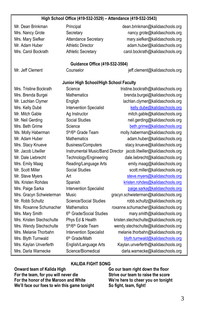#### **High School Office (419-532-3529) – Attendance (419-532-3543)**

Mr. Dean Brinkman Principal Principal dean.brinkman@kalidaschools.org Mrs. Nancy Grote Secretary Secretary nancy.grote@kalidaschools.org Mrs. Mary Siefker **Attendance Secretary mary.siefker@kalidaschools.org** mary.siefker@kalidaschools.org Mr. Adam Huber Athletic Director adam.huber@kalidaschools.org Mrs. Carol Bockrath Athletic Secretary carol.bockrath@kalidaschools.org

#### **Guidance Office (419-532-3504)**

Mr. Jeff Clement Counselor Counselor jeff.clement@kalidaschools.org

# **Junior High School/High School Faculty** Mrs. Tristine Bockrath Science tristine.bockrath@kalidaschools.org Mrs. Brenda Burgei Mathematics brenda.burgei@kalidaschools.org Ms. Molly Haberman 5th/6th Grade Team Mrs. Mary Smith 6th Grade/Social Studies Mrs. Wendy Stechschulte 5th/6th Grade Team Mrs. Blyth Turnwald 6th Grade/Math

Mr. Lachlan Clymer Engligh Engligh lachlan.clymer@kalidaschools.org Mrs. Kelly Dubé Intervention Specialist [kelly.dube@kalidaschools.org](mailto:kelly.dube@kalidaschools.org) Mr. Mitch Gable Ag Instructor mitch.gable@kalidaschools.org Mr. Neil Gerding Social Studies neil.gerding@kalidaschools.org Mrs. Beth Grime Science Science [beth.grime@kalidaschools.org](mailto:beth.grime@kalidaschools.org) molly.haberman@kalidaschools.org Mr. Adam Huber Mathematics adam.huber@kalidaschools.org Mrs. Stacy Knueve **Business/Computers** stacy.knueve@kalidaschools.org Mr. Jacob Litwiller **Instrumental Music/Band Director** jacob.litwiller@kalidaschools.org Mr. Dale Liebrecht Technology/Engineering dale.liebrecht@kalidaschools.org Mrs. Emily Maag Reading/Language Arts emily maag@kalidaschools.org Mr. Scott Miller Social Studies scott.miller@kalidaschools.org Mr. Steve Myers **Art** Art [steve.myers@kalidaschools.org](mailto:steve.myers@kalidaschools.org) Ms. Kristen Rohdes Spanish Spanish [kristen.rohdes@kalidaschools.org](mailto:kristen.rohdes@kalidaschools.org) Mrs. Paige Sarka Intervention Specialist [paige.sarka@kalidaschools.org](mailto:paige.sarka@kalidaschools.org) Mrs. Gracyn Schwieterman Music gracyn.schwieterman@kalidaschools.org Mr. Robb Schultz Science/Social Studies robb.schultz@kalidaschools.org Mrs. Roxanne Schumacher Mathematics roxanne.schumacher@kalidaschools.org mary.smith@kalidaschools.org Mrs. Kristen Stechschulte Phys Ed & Health kristen.stechschulte@kalidaschools.org wendy.stechschulte@kalidaschools.org Mrs. Melanie Thorbahn Intervention Specialist melanie.thorbahn@kalidaschools.org [blyth.turnwald@kalidaschools.org](mailto:blyth.turnwald@kalidaschools.org) Mrs. Kaylan Unverferth English/Language Arts Kaylan.unverferth@kalidaschools.org Mrs. Darla Warnecke Science/Biomedical darla.warnecke@kalidaschools.org

#### **KALIDA FIGHT SONG**

**Onward team of Kalida High Go our team right down the floor For the team, for you will never die Strive our team to raise the score For the honor of the Maroon and White We're here to cheer you on tonight We'll face our foes to win this game tonight So fight, team, fight!**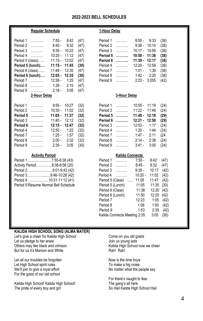#### **2022-2023 BELL SCHEDULES**

#### **Regular Schedule 1-Hour Delay**

| Period 1         | .               | $7:55 -$        | 8:42  | (47) | Period 1 | .            | $8:55 -$        | 9:33  | (38) |
|------------------|-----------------|-----------------|-------|------|----------|--------------|-----------------|-------|------|
| Period 2         | .               | $8:45-$         | 9:32  | (47) | Period 2 | .            | $9:36 -$        | 10:14 | (38) |
| Period 3         | 1.1.1.1.1.1.1.1 | $9:35 -$        | 10:22 | (47) | Period 3 | .            | $10:17 -$       | 10:55 | (38) |
| Period 4         | .               | $10:25 -$       | 11:12 | (47) | Period 5 |              | $10:58 -$       | 11:36 | (38) |
| Period 5 (class) |                 | $11:15 - 12:02$ |       | (47) | Period 6 | .            | 11:39 -         | 12:17 | (38) |
| Period 5 (lunch) |                 | 11:15 - 11:45   |       | (30) | Period 4 | .            | $12:20 -$       | 12:58 | (38) |
| Period 6 (class) |                 | $11:48 - 12:35$ |       | (47) | Period 7 | .            | $1:01 -$        | 1:39  | (38) |
| Period 6 (lunch) |                 | $12:05 - 12:35$ |       | (30) | Period 8 | .            | $1:42 -$        | 2:20  | (38) |
| Period 7         | .               | $12:38 -$       | 1:25  | (47) | Period 9 | .            | $2:23 - 3:055$  |       | (42) |
| Period 8         | .               | $1:28 -$        | 2:15  | (47) |          |              |                 |       |      |
| Period 9         | .               | $2:18-$         | 3:05  | (47) |          |              |                 |       |      |
|                  | 2-Hour Delay    |                 |       |      |          | 3-Hour Delay |                 |       |      |
| Period 1         | .               | $9:55 - 10:27$  |       | (32) | Period 1 | .            | $10:55 - 11:19$ |       | (24) |
| Period 2         | .               | $10:30 -$       | 11:02 | (32) | Period 2 | .            | $11:22 -$       | 11:46 | (24) |
| Period 5         | .               | $11:05 - 11:37$ |       | (32) | Period 5 | .            | $11:49 -$       | 12:18 | (29) |
| Period 3         | .               | $11:40 - 12:12$ |       | (32) | Period 6 | .            | 12:21 - 12:50   |       | (29) |
| Period 6         | .               | $12:15 - 12:47$ |       | (32) | Period 3 | .            | $12:53 -$       | 1:17  | (24) |
|                  |                 |                 |       |      |          |              |                 |       |      |

#### Period 4 ………... 12:50 - 1:22 (32) F Period 7 ………... 1:25 - 1:57 (32) Period 8<br>Period 8 - 2:00 - 2:32 (32) P Period 8 ………... 2:00 - 2:32 (32) F<br>Period 9 ………... 2:35 - 3:05 (30) F  $2:35 - 3:05$  (30)

| Period 17:55-8:38 (43)               |
|--------------------------------------|
| Activity Period8:38-8:58 (20)        |
| Period 29:01-9:43 (42)               |
| Period 39:46-10:28 (42)              |
| Period 410:31-11:12 (41)             |
| Period 5 Resume Normal Bell Schedule |

| Period 1 |   | 8:55 -         | 9:33  | (38) |
|----------|---|----------------|-------|------|
| Period 2 | . | $9:36 - 10:14$ |       | (38) |
| Period 3 | . | $10:17 -$      | 10:55 | (38) |
| Period 5 |   | $10:58 -$      | 11:36 | (38) |
| Period 6 | . | $11:39 -$      | 12:17 | (38) |
| Period 4 | . | 12:20 - 12:58  |       | (38) |
| Period 7 |   | $1:01 - 1:39$  |       | (38) |
| Period 8 | . | $1:42 - 2:20$  |       | (38) |
| Period 9 |   | $2:23 -$       | 3:055 | (42) |
|          |   |                |       |      |

#### **2-Hour Delay 3-Hour Delay**

|          | Period 1               | 10:55 - 11:19   |               | (24) |
|----------|------------------------|-----------------|---------------|------|
| Period 2 |                        | $11:22 - 11:46$ |               | (24) |
| Period 5 | .                      | 11:49 - 12:18   |               | (29) |
| Period 6 | .                      | 12:21 12:50     |               | (29) |
| Period 3 | 1.1.1.1.1.1.1.1        | $12:53 - 1:17$  |               | (24) |
| Period 4 | $\ldots \ldots \ldots$ | $1:20 - 1:44$   |               | (24) |
| Period 7 | $\ldots \ldots \ldots$ |                 | $1:47 - 2:11$ | (24) |
| Period 8 | 1.1.1.1.1.1.1.1        | $2:14-$         | 2:38          | (24) |
| Period 9 |                        |                 | $3:41 - 3:05$ | (24) |

#### **Activity Period Kalida Connects**

| Period 17:55-8:38 (43)               | Period 1<br>.    | $7:55 -$  | 8:42                                             | (47)  |
|--------------------------------------|------------------|-----------|--------------------------------------------------|-------|
| Activity Period8:38-8:58 (20)        | Period 2<br>.    | $8:45-$   | 9:32                                             | (47)  |
| Period 29:01-9:43 (42)               | Period 3         | $9:35 -$  | 10:17                                            | (42)  |
| Period 39:46-10:28 (42)              | Period 4         | $10:20 -$ | 11:02                                            | (42)  |
| Period 410:31-11:12 (41)             |                  | 11:05     | 11:47                                            | (42)  |
| Period 5:Resume Normal Bell Schedule | Period 5 (Lunch) | 11:05     |                                                  | (30)  |
|                                      | Period 6 (Class) | 11:38     | 12:20                                            | (42)  |
|                                      | Period 6 (Lunch) | 11:50     | 12:20                                            | (42)  |
|                                      | Period 7         | 12:23     | 1:05                                             | (42)  |
|                                      | Period 8         | 1:08      | 1:50                                             | (42)  |
|                                      | Period 9         | 1:53      | 2:35                                             | (42)  |
|                                      |                  |           | 3:05                                             | (30)  |
|                                      |                  |           | Period 5 (Class)<br>Kalida Connects Meeting 2:35 | 11:35 |

#### **KALIDA HIGH SCHOOL SONG (ALMA MATER)**

Let's give a cheer for Kalida High School Come on you old grads<br>
Let us pledge to her anew Let us young lads Let us pledge to her anew  $\frac{1}{2}$  Join us young lads<br>
Others may like black and crimson China Boss and Malida High School now we cheer Others may like black and crimson Kalida High School now we cheer But for us it's Maroon and White

Let all our troubles be forgotten  $\begin{array}{ccc} \text{Let } H$  all our troubles be forgotten  $\begin{array}{ccc} \text{Let } H$  and  $\text{Let } H$  and  $\text{Let } H$  and  $\text{Let } H$  and  $\text{Let } H$  and  $\text{Let } H$  and  $\text{Let } H$  and  $\text{Let } H$  and  $\text{Let } H$  and  $\text{Let } H$  and  $\text{Let$ Let High School spirit rules<br>We'll join to give a royal effort For the good of our old school

Kalida High School! Kalida High School!<br>The pride of every boy and girl

No matter what the people say

For there's naught to fear<br>The gang's all here So Hail Kalida High School Hail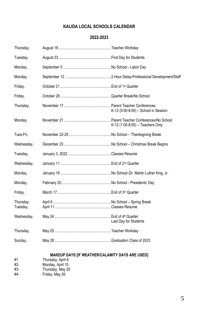#### **KALIDA LOCAL SCHOOLS CALENDAR**

#### **2022-2023**

| Thursday,             |                                      |
|-----------------------|--------------------------------------|
| Tuesday,              |                                      |
| Monday,               |                                      |
| Monday,               |                                      |
| Friday,               |                                      |
| Friday,               |                                      |
| Thursday,             | K-12 (5:00-8:00) - School in Session |
| Monday,               | K-12 (1:00-8:00) - Teachers Only     |
| Tues-Fri,             |                                      |
| Wednesday,            |                                      |
| Tuesday,              |                                      |
| Wednesday,            |                                      |
| Monday,               |                                      |
| Monday,               |                                      |
| Friday,               |                                      |
| Thursday,<br>Tuesday, |                                      |
| Wednesday,            | Last Day for Students                |
| Thursday,             |                                      |
| Sunday,               |                                      |
|                       |                                      |

**MAKEUP DAYS [IF WEATHER/CALAMITY DAYS ARE USED]**

- #1 Thursday, April 6 #2- Monday, April 10
- #3- Thursday, May 25
- #4- Friday, May 26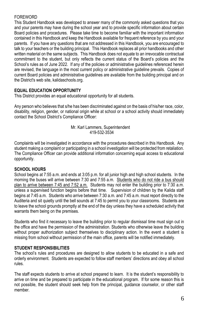#### FOREWORD

This Student Handbook was developed to answer many of the commonly asked questions that you and your parents may have during the school year and to provide specific information about certain Board policies and procedures. Please take time to become familiar with the important information contained in this Handbook and keep the Handbook available for frequent reference by you and your parents. If you have any questions that are not addressed in this Handbook, you are encouraged to talk to your teachers or the building principal. This Handbook replaces all prior handbooks and other written material on the same subjects. This Handbook does not equate to an irrevocable contractual commitment to the student, but only reflects the current status of the Board's policies and the School's rules as of June 2022. If any of the policies or administrative guidelines referenced herein are revised, the language in the most current policy or administrative guideline prevails. Copies of current Board policies and administrative guidelines are available from the building principal and on the District's web site, kalidaschools.org.

#### **EQUAL EDUCATION OPPORTUNITY**

This District provides an equal educational opportunity for all students.

Any person who believes that s/he has been discriminated against on the basis of his/her race, color, disability, religion, gender, or national origin while at school or a school activity should immediately contact the School District's Compliance Officer:

#### Mr. Karl Lammers, Superintendent 419-532-3534

Complaints will be investigated in accordance with the procedures described in this Handbook. Any student making a complaint or participating in a school investigation will be protected from retaliation. The Compliance Officer can provide additional information concerning equal access to educational opportunity.

#### **SCHOOL HOURS**

School begins at 7:55 a.m. and ends at 3:05 p.m. for all junior high and high school students. In the morning the buses will arrive between 7:30 and 7:55 a.m. Students who do not ride a bus should plan to arrive between 7:45 and 7:52 a.m. Students may not enter the building prior to 7:30 a.m. unless a supervised function begins before that time. Supervision of children by the Kalida staff begins at 7:45 a.m. Students who arrive between 7:30 a.m. and 7:45 a.m. must report directly to the Auditeria and sit quietly until the bell sounds at 7:45 to permit you to your classrooms. Students are to leave the school grounds promptly at the end of the day unless they have a scheduled activity that warrants them being on the premises.

Students who find it necessary to leave the building prior to regular dismissal time must sign out in the office and have the permission of the administration. Students who otherwise leave the building without proper authorization subject themselves to disciplinary action. In the event a student is missing from school without permission of the main office, parents will be notified immediately.

#### **STUDENT RESPONSIBILITIES**

The school's rules and procedures are designed to allow students to be educated in a safe and orderly environment. Students are expected to follow staff members' directions and obey all school rules.

The staff expects students to arrive at school prepared to learn. It is the student's responsibility to arrive on time and be prepared to participate in the educational program. If for some reason this is not possible, the student should seek help from the principal, guidance counselor, or other staff member.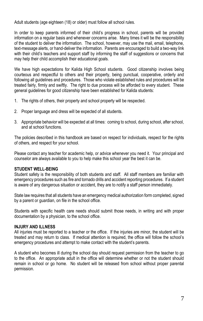Adult students (age eighteen (18) or older) must follow all school rules.

In order to keep parents informed of their child's progress in school, parents will be provided information on a regular basis and whenever concerns arise. Many times it will be the responsibility of the student to deliver the information. The school, however, may use the mail, email, telephone, text-message alerts, or hand-deliver the information. Parents are encouraged to build a two-way link with their child's teachers and support staff by informing the staff of suggestions or concerns that may help their child accomplish their educational goals.

We have high expectations for Kalida High School students. Good citizenship involves being courteous and respectful to others and their property, being punctual, cooperative, orderly and following all guidelines and procedures. Those who violate established rules and procedures will be treated fairly, firmly and swiftly. The right to due process will be afforded to every student. These general guidelines for good citizenship have been established for Kalida students:

- 1. The rights of others, their property and school property will be respected.
- 2. Proper language and dress will be expected of all students.
- 3. Appropriate behavior will be expected at all times: coming to school, during school, after school, and at school functions.

The policies described in this handbook are based on respect for individuals, respect for the rights of others, and respect for your school.

Please contact any teacher for academic help, or advice whenever you need it. Your principal and counselor are always available to you to help make this school year the best it can be.

#### **STUDENT WELL-BEING**

Student safety is the responsibility of both students and staff. All staff members are familiar with emergency procedures such as fire and tornado drills and accident reporting procedures. If a student is aware of any dangerous situation or accident, they are to notify a staff person immediately.

State law requires that all students have an emergency medical authorization form completed, signed by a parent or guardian, on file in the school office.

Students with specific health care needs should submit those needs, in writing and with proper documentation by a physician, to the school office.

#### **INJURY AND ILLNESS**

All injuries must be reported to a teacher or the office. If the injuries are minor, the student will be treated and may return to class. If medical attention is required, the office will follow the school's emergency procedures and attempt to make contact with the student's parents.

A student who becomes ill during the school day should request permission from the teacher to go to the office. An appropriate adult in the office will determine whether or not the student should remain in school or go home. No student will be released from school without proper parental permission.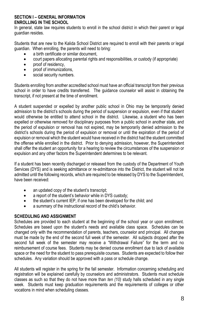#### **SECTION I – GENERAL INFORMATION ENROLLING IN THE SCHOOL**

In general, state law requires students to enroll in the school district in which their parent or legal guardian resides.

Students that are new to the Kalida School District are required to enroll with their parents or legal guardian. When enrolling, the parents will need to bring:

- a birth certificate or similar document,
- court papers allocating parental rights and responsibilities, or custody (if appropriate)
- proof of residency,
- proof of immunizations.
- social security numbers.

Students enrolling from another accredited school must have an official transcript from their previous school in order to have credits transferred. The guidance counselor will assist in obtaining the transcript, if not present at the time of enrollment.

A student suspended or expelled by another public school in Ohio may be temporarily denied admission to the district's schools during the period of suspension or expulsion, even if that student would otherwise be entitled to attend school in the district. Likewise, a student who has been expelled or otherwise removed for disciplinary purposes from a public school in another state, and the period of expulsion or removal has not expired, may be temporarily denied admission to the district's schools during the period of expulsion or removal or until the expiration of the period of expulsion or removal which the student would have received in the district had the student committed the offense while enrolled in the district. Prior to denying admission, however, the Superintendent shall offer the student an opportunity for a hearing to review the circumstances of the suspension or expulsion and any other factors the Superintendent determines to be relevant.

If a student has been recently discharged or released from the custody of the Department of Youth Services (DYS) and is seeking admittance or re-admittance into the District, the student will not be admitted until the following records, which are required to be released by DYS to the Superintendent, have been received:

- an updated copy of the student's transcript;
- a report of the student's behavior while in DYS custody:
- the student's current IEP, if one has been developed for the child; and
- a summary of the instructional record of the child's behavior.

#### **SCHEDULING AND ASSIGNMENT**

Schedules are provided to each student at the beginning of the school year or upon enrollment. Schedules are based upon the student's needs and available class space. Schedules can be changed only with the recommendation of parents, teachers, counselor and principal. All changes must be made by the end of the second full week of the semester. All subjects dropped after the second full week of the semester may receive a "Withdrawal Failure" for the term and no reimbursement of course fees. Students may be denied course enrollment due to lack of available space or the need for the student to pass prerequisite courses. Students are expected to follow their schedules. Any variation should be approved with a pass or schedule change.

All students will register in the spring for the fall semester. Information concerning scheduling and registration will be explained carefully by counselors and administrators. Students must schedule classes as such so that they do not have more than *ten (10)* study halls scheduled in any single week. Students must keep graduation requirements and the requirements of colleges or other vocations in mind when scheduling classes.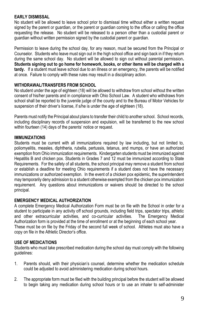#### **EARLY DISMISSAL**

No student will be allowed to leave school prior to dismissal time without either a written request signed by the parent or guardian, or the parent or guardian coming to the office or calling the office requesting the release. No student will be released to a person other than a custodial parent or guardian without written permission signed by the custodial parent or guardian.

Permission to leave during the school day, for any reason, must be secured from the Principal or Counselor. Students who leave must sign out in the high school office and sign back in if they return during the same school day. No student will be allowed to sign out without parental permission**. Students signing out to go home for homework, books, or other items will be charged with a tardy.** If a student must leave school due to an illness or an emergency, the parents will be notified at once. Failure to comply with these rules may result in a disciplinary action.

#### **WITHDRAWAL/TRANSFERS FROM SCHOOL**

No student under the age of eighteen (18) will be allowed to withdraw from school without the written consent of his/her parents and in compliance with Ohio School Law. A student who withdraws from school shall be reported to the juvenile judge of the county and to the Bureau of Motor Vehicles for suspension of their driver's license, if s/he is under the age of eighteen (18).

Parents must notify the Principal about plans to transfer their child to another school. School records, including disciplinary records of suspension and expulsion, will be transferred to the new school within fourteen (14) days of the parents' notice or request.

#### **IMMUNIZATIONS**

Students must be current with all immunizations required by law including, but not limited to, poliomyelitis, measles, diphtheria, rubella, pertussis, tetanus, and mumps, or have an authorized exemption from Ohio immunization requirements. Kindergarten students must be immunized against Hepatitis B and chicken pox. Students in Grades 7 and 12 must be immunized according to State Requirements. For the safety of all students, the school principal may remove a student from school or establish a deadline for meeting Ohio requirements if a student does not have the necessary immunizations or authorized exemption. In the event of a chicken pox epidemic, the superintendent may temporarily deny admission to a student otherwise exempted from the chicken pox immunization requirement. Any questions about immunizations or waivers should be directed to the school principal.

#### **EMERGENCY MEDICAL AUTHORIZATION**

A complete Emergency Medical Authorization Form must be on file with the School in order for a student to participate in any activity off school grounds, including field trips, spectator trips, athletic and other extracurricular activities, and co-curricular activities. The Emergency Medical Authorization form is provided at the time of enrollment or at the beginning of each school year. These must be on file by the Friday of the second full week of school. Athletes must also have a copy on file in the Athletic Director's office.

#### **USE OF MEDICATIONS**

Students who must take prescribed medication during the school day must comply with the following guidelines:

- 1. Parents should, with their physician's counsel, determine whether the medication schedule could be adjusted to avoid administering medication during school hours.
- 2. The appropriate form must be filed with the building principal before the student will be allowed to begin taking any medication during school hours or to use an inhaler to self-administer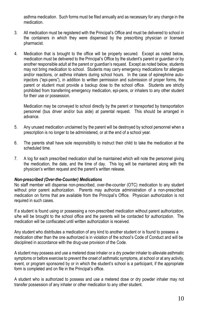asthma medication. Such forms must be filed annually and as necessary for any change in the medication.

- 3. All medication must be registered with the Principal's Office and must be delivered to school in the containers in which they were dispensed by the prescribing physician or licensed pharmacist.
- 4. Medication that is brought to the office will be properly secured. Except as noted below, medication must be delivered to the Principal's Office by the student's parent or guardian or by another responsible adult at the parent or guardian's request. Except as noted below, students may not bring medication to school. Students may carry emergency medications for allergies and/or reactions, or asthma inhalers during school hours. In the case of epinephrine autoinjectors ("epi-pens"), in addition to written permission and submission of proper forms, the parent or student must provide a backup dose to the school office. Students are strictly prohibited from transferring emergency medication, epi-pens, or inhalers to any other student for their use or possession.

Medication may be conveyed to school directly by the parent or transported by transportation personnel (bus driver and/or bus aide) at parental request. This should be arranged in advance.

- 5. Any unused medication unclaimed by the parent will be destroyed by school personnel when a prescription is no longer to be administered, or at the end of a school year.
- 6. The parents shall have sole responsibility to instruct their child to take the medication at the scheduled time.
- 7. A log for each prescribed medication shall be maintained which will note the personnel giving the medication, the date, and the time of day. This log will be maintained along with the physician's written request and the parent's written release.

#### *Non-prescribed (Over-the-Counter) Medications*

No staff member will dispense non-prescribed, over-the-counter (OTC) medication to any student without prior parent authorization. Parents may authorize administration of a non-prescribed medication on forms that are available from the Principal's Office. Physician authorization is not required in such cases.

If a student is found using or possessing a non-prescribed medication without parent authorization, s/he will be brought to the school office and the parents will be contacted for authorization. The medication will be confiscated until written authorization is received.

Any student who distributes a medication of any kind to another student or is found to possess a medication other than the one authorized is in violation of the school's Code of Conduct and will be disciplined in accordance with the drug-use provision of the Code.

A student may possess and use a metered dose inhaler or a dry powder inhaler to alleviate asthmatic symptoms or before exercise to prevent the onset of asthmatic symptoms, at school or at any activity, event, or program sponsored by or in which the student's school is a participant, if the appropriate form is completed and on file in the Principal's office.

A student who is authorized to possess and use a metered dose or dry powder inhaler may not transfer possession of any inhaler or other medication to any other student.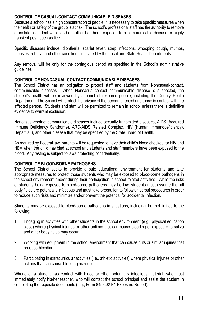#### **CONTROL OF CASUAL-CONTACT COMMUNICABLE DISEASES**

Because a school has a high concentration of people, it is necessary to take specific measures when the health or safety of the group is at risk. The school's professional staff has the authority to remove or isolate a student who has been ill or has been exposed to a communicable disease or highly transient pest, such as lice.

Specific diseases include: diphtheria, scarlet fever, strep infections, whooping cough, mumps, measles, rubella, and other conditions indicated by the Local and State Health Departments.

Any removal will be only for the contagious period as specified in the School's administrative guidelines.

#### **CONTROL OF NONCASUAL-CONTACT COMMUNICABLE DISEASES**

The School District has an obligation to protect staff and students from Noncasual-contact, communicable diseases. When Noncasual-contact communicable disease is suspected, the student's health will be reviewed by a panel of resource people, including the County Health Department. The School will protect the privacy of the person affected and those in contact with the affected person. Students and staff will be permitted to remain in school unless there is definitive evidence to warrant exclusion.

Noncasual-contact communicable diseases include sexually transmitted diseases, AIDS (Acquired Immune Deficiency Syndrome), ARC-AIDS Related Complex, HIV (Human Immunodeficiency), Hepatitis B, and other disease that may be specified by the State Board of Health.

As required by Federal law, parents will be requested to have their child's blood checked for HIV and HBV when the child has bled at school and students and staff members have been exposed to the blood. Any testing is subject to laws protecting confidentiality.

#### **CONTROL OF BLOOD-BORNE PATHOGENS**

The School District seeks to provide a safe educational environment for students and take appropriate measures to protect those students who may be exposed to blood-borne pathogens in the school environment and/or during their participation in school-related activities. While the risks of students being exposed to blood-borne pathogens may be low, students must assume that all body fluids are potentially infectious and must take precaution to follow universal procedures in order to reduce such risks and minimize and/or prevent the potential for accidental infection.

Students may be exposed to blood-borne pathogens in situations, including, but not limited to the following:

- 1. Engaging in activities with other students in the school environment (e.g., physical education class) where physical injuries or other actions that can cause bleeding or exposure to saliva and other body fluids may occur.
- 2. Working with equipment in the school environment that can cause cuts or similar injuries that produce bleeding.
- 3. Participating in extracurricular activities (i.e., athletic activities) where physical injuries or other actions that can cause bleeding may occur.

Whenever a student has contact with blood or other potentially infectious material, s/he must immediately notify his/her teacher, who will contact the school principal and assist the student in completing the requisite documents (e.g., Form 8453.02 F1-Exposure Report).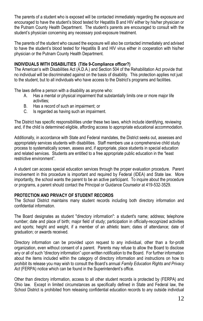The parents of a student who is exposed will be contacted immediately regarding the exposure and encouraged to have the student's blood tested for Hepatitis B and HIV either by his/her physician or the Putnam County Health Department. The student's parents are encouraged to consult with the student's physician concerning any necessary post-exposure treatment.

The parents of the student who caused the exposure will also be contacted immediately and advised to have the student's blood tested for Hepatitis B and HIV virus either in cooperation with his/her physician or the Putnam County Health Department.

#### **INDIVIDUALS WITH DISABILITIES (Title 9-Compliance officer?)**

The American's with Disabilities Act (A.D.A.) and Section 504 of the Rehabilitation Act provide that no individual will be discriminated against on the basis of disability. This protection applies not just to the student, but to all individuals who have access to the District's programs and facilities.

The laws define a person with a disability as anyone who:

- A. Has a mental or physical impairment that substantially limits one or more major life activities;
- B. Has a record of such an impairment; or
- C. Is regarded as having such an impairment.

The District has specific responsibilities under these two laws, which include identifying, reviewing and, if the child is determined eligible, affording access to appropriate educational accommodation.

Additionally, in accordance with State and Federal mandates, the District seeks out, assesses and appropriately services students with disabilities. Staff members use a comprehensive child study process to systematically screen, assess and, if appropriate, place students in special education and related services. Students are entitled to a free appropriate public education in the "least restrictive environment".

A student can access special education services through the proper evaluation procedure. Parent involvement in this procedure is important and required by Federal (IDEA) and State law. More importantly, the school wants the parent to be an active participant. To inquire about the procedure or programs, a parent should contact the Principal or Guidance Counselor at 419-532-3529.

#### **PROTECTION AND PRIVACY OF STUDENT RECORDS**

The School District maintains many student records including both directory information and confidential information.

The Board designates as student "directory information": a student's name; address; telephone number; date and place of birth; major field of study; participation in officially-recognized activities and sports; height and weight, if a member of an athletic team; dates of attendance; date of graduation; or awards received.

Directory information can be provided upon request to any individual, other than a for-profit organization, even without consent of a parent. Parents may refuse to allow the Board to disclose any or all of such "directory information" upon written notification to the Board. For further information about the items included within the category of directory information and instructions on how to prohibit its release you may wish to consult the Board's annual *Family Education Rights and Privacy*  Act (FERPA) notice which can be found in the Superintendent's office.

Other than directory information, access to all other student records is protected by (FERPA) and Ohio law. Except in limited circumstances as specifically defined in State and Federal law, the School District is prohibited from releasing confidential education records to any outside individual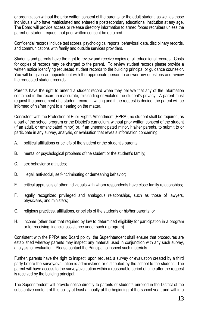or organization without the prior written consent of the parents, or the adult student, as well as those individuals who have matriculated and entered a postsecondary educational institution at any age. The Board will provide access or release directory information to armed forces recruiters unless the parent or student request that prior written consent be obtained.

Confidential records include test scores, psychological reports, behavioral data, disciplinary records, and communications with family and outside services providers.

Students and parents have the right to review and receive copies of all educational records. Costs for copies of records may be charged to the parent. To review student records please provide a written notice identifying requested student records to the building principal or guidance counselor. You will be given an appointment with the appropriate person to answer any questions and review the requested student records.

Parents have the right to amend a student record when they believe that any of the information contained in the record in inaccurate, misleading or violates the student's privacy. A parent must request the amendment of a student record in writing and if the request is denied, the parent will be informed of his/her right to a hearing on the matter.

Consistent with the Protection of Pupil Rights Amendment (PPRA), no student shall be required, as a part of the school program or the District's curriculum, without prior written consent of the student (if an adult, or emancipated minor) or, if an unemancipated minor, his/her parents, to submit to or participate in any survey, analysis, or evaluation that reveals information concerning:

- A. political affiliations or beliefs of the student or the student's parents;
- B. mental or psychological problems of the student or the student's family;
- C. sex behavior or attitudes;
- D. illegal, anti-social, self-incriminating or demeaning behavior;
- E. critical appraisals of other individuals with whom respondents have close family relationships;
- F. legally recognized privileged and analogous relationships, such as those of lawyers, physicians, and ministers;
- G. religious practices, affiliations, or beliefs of the students or his/her parents; or
- H. income (other than that required by law to determined eligibility for participation in a program or for receiving financial assistance under such a program).

Consistent with the PPRA and Board policy, the Superintendent shall ensure that procedures are established whereby parents may inspect any material used in conjunction with any such survey, analysis, or evaluation. Please contact the Principal to inspect such materials.

Further, parents have the right to inspect, upon request, a survey or evaluation created by a third party before the survey/evaluation is administered or distributed by the school to the student. The parent will have access to the survey/evaluation within a reasonable period of time after the request is received by the building principal.

The Superintendent will provide notice directly to parents of students enrolled in the District of the substantive content of this policy at least annually at the beginning of the school year, and within a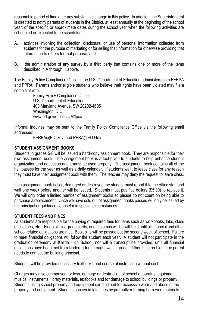reasonable period of time after any substantive change in this policy. In addition, the Superintendent is directed to notify parents of students in the District, at least annually at the beginning of the school year, of the specific or approximate dates during the school year when the following activities are scheduled or expected to be scheduled:

- A. activities involving the collection, disclosure, or use of personal information collected from students for the purpose of marketing or for selling that information for otherwise providing that information to others for that purpose; and
- B. the administration of any survey by a third party that contains one or more of the items described in A through H above.

The Family Policy Compliance Office in the U.S. Department of Education administers both FERPA and PPRA. Parents and/or eligible students who believe their rights have been violated may file a complaint with:

Family Policy Compliance Office U.S. Department of Education 400 Maryland Avenue, SW 20202-4605 Washington, D.C. [www.ed.gov/offices/OM/fpco](http://www.ed.gov/offices/OM/fpco)

Informal inquiries may be sent to the Family Policy Compliance Office via the following email addresses:

[FERPA@ED.Gov;](mailto:FERPA@ED.Gov) and [PPRA@ED.Gov.](mailto:PPRA@ED.Gov)

#### **STUDENT ASSIGNMENT BOOKS**

Students in grades 5-8 will be issued a hard-copy assignment book. They are responsible for their own assignment book. The assignment book is a tool given to students to help enhance student organization and education and it must be used properly. The assignment book contains all of the hall passes for the year as well as a daily calendar. If students want to leave class for any reason they must have their assignment book with them. The teacher may deny the request to leave class.

If an assignment book is lost, damaged or destroyed the student must report it to the office staff and wait one week before another will be issued. Students must pay five dollars (\$5.00) to replace it. We will only order a limited number of assignment books so please do not count on being able to purchase a replacement. Once we have sold out of assignment books passes will only be issued by the principal or guidance counselor in special circumstances.

#### **STUDENT FEES AND FINES**

All students are responsible for the paying of required fees for items such as workbooks, labs, class dues, fines, etc. Final exams, grade cards, and diplomas will be withheld until all financial and other school related obligations are met. Book bills will be passed out the second week of school.Failure to meet financial obligations will follow the student each year. A student will not participate in the graduation ceremony at Kalida High School, nor will a transcript be provided, until all financial obligations have been met from kindergarten through twelfth grade. If there is a problem, the parent needs to contact the building principal.

Students will be provided necessary textbooks and course of instruction without cost.

Charges may also be imposed for loss, damage or destruction of school apparatus, equipment, musical instruments, library materials, textbooks and for damage to school buildings or property. Students using school property and equipment can be fined for excessive wear and abuse of the property and equipment. Students can avoid late fines by promptly returning borrowed materials.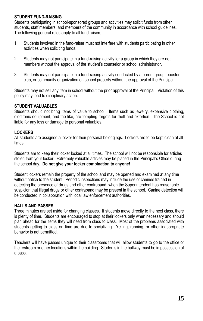#### **STUDENT FUND-RAISING**

Students participating in school-sponsored groups and activities may solicit funds from other students, staff members, and members of the community in accordance with school guidelines. The following general rules apply to all fund raisers:

- 1. Students involved in the fund-raiser must not interfere with students participating in other activities when soliciting funds.
- 2. Students may not participate in a fund-raising activity for a group in which they are not members without the approval of the student's counselor or school administrator.
- 3. Students may not participate in a fund-raising activity conducted by a parent group, booster club, or community organization on school property without the approval of the Principal.

Students may not sell any item in school without the prior approval of the Principal. Violation of this policy may lead to disciplinary action.

#### **STUDENT VALUABLES**

Students should not bring items of value to school. Items such as jewelry, expensive clothing, electronic equipment, and the like, are tempting targets for theft and extortion. The School is not liable for any loss or damage to personal valuables.

#### **LOCKERS**

All students are assigned a locker for their personal belongings. Lockers are to be kept clean at all times.

Students are to keep their locker locked at all times. The school will not be responsible for articles stolen from your locker. Extremely valuable articles may be placed in the Principal's Office during the school day. **Do not give your locker combination to anyone!**

Student lockers remain the property of the school and may be opened and examined at any time without notice to the student. Periodic inspections may include the use of canines trained in detecting the presence of drugs and other contraband, when the Superintendent has reasonable suspicion that illegal drugs or other contraband may be present in the school. Canine detection will be conducted in collaboration with local law enforcement authorities.

#### **HALLS AND PASSES**

Three minutes are set aside for changing classes. If students move directly to the next class, there is plenty of time. Students are encouraged to stop at their lockers only when necessary and should plan ahead for the items they will need from class to class. Most of the problems associated with students getting to class on time are due to socializing. Yelling, running, or other inappropriate behavior is not permitted.

Teachers will have passes unique to their classrooms that will allow students to go to the office or the restroom or other locations within the building. Students in the hallway must be in possession of a pass.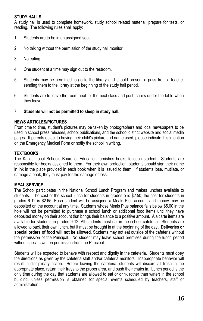#### **STUDY HALLS**

A study hall is used to complete homework, study school related material, prepare for tests, or reading. The following rules shall apply:

- 1. Students are to be in an assigned seat.
- 2. No talking without the permission of the study hall monitor.
- 3. No eating.
- 4. One student at a time may sign out to the restroom.
- 5. Students may be permitted to go to the library and should present a pass from a teacher sending them to the library at the beginning of the study hall period.
- 6. Students are to leave the room neat for the next class and push chairs under the table when they leave.

#### 7. **Students will not be permitted to sleep in study hall.**

#### **NEWS ARTICLES/PICTURES**

From time to time, student's pictures may be taken by photographers and local newspapers to be used in school press releases, school publications, and the school district website and social media pages. If parents object to having their child's picture and name used, please indicate this intention on the Emergency Medical Form or notify the school in writing.

#### **TEXTBOOKS**

The Kalida Local Schools Board of Education furnishes books to each student. Students are responsible for books assigned to them. For their own protection, students should sign their name in ink in the place provided in each book when it is issued to them. If students lose, mutilate, or damage a book, they must pay for the damage or loss.

#### **MEAL SERVICE**

The School participates in the National School Lunch Program and makes lunches available to students. The cost of the school lunch for students in grades 5 is \$2.50; the cost for students in grades 6-12 is \$2.65. Each student will be assigned a Meals Plus account and money may be deposited on the account at any time. Students whose Meals Plus balance falls below \$5.00 in the hole will not be permitted to purchase a school lunch or additional food items until they have deposited money on their account that brings their balance to a positive amount. Ala carte items are available for students in grades 9-12. All students must eat in the school cafeteria. Students are allowed to pack their own lunch, but it must be brought in at the beginning of the day**. Deliveries or special orders of food will not be allowed.** Students may not eat outside of the cafeteria without the permission of the Principal. No student may leave school premises during the lunch period without specific written permission from the Principal.

Students will be expected to behave with respect and dignity in the cafeteria. Students must obey the directions as given by the cafeteria staff and/or cafeteria monitors. Inappropriate behavior will result in disciplinary action. Before leaving the cafeteria, students will discard all trash in the appropriate place, return their trays to the proper area, and push their chairs in. Lunch period is the only time during the day that students are allowed to eat or drink (other than water) in the school building, unless permission is obtained for special events scheduled by teachers, staff or administration.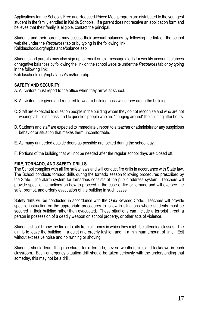Applications for the School's Free and Reduced-Priced Meal program are distributed to the youngest student in the family enrolled in Kalida Schools. If a parent does not receive an application form and believes that their family is eligible, contact the principal.

Students and their parents may access their account balances by following the link on the school website under the *Resources* tab or by typing in the following link: Kalidaschools.org/mpbalance/balance.asp

Students and parents may also sign up for email or text message alerts for weekly account balances or negative balances by following the link on the school website under the *Resources* tab or by typing in the following link:

Kalidaschools.org/mpbalance/sms/form.php

#### **SAFETY AND SECURITY**

A. All visitors must report to the office when they arrive at school.

- B. All visitors are given and required to wear a building pass while they are in the building.
- C. Staff are expected to question people in the building whom they do not recognize and who are not wearing a building pass, and to question people who are "hanging around" the building after hours.
- D. Students and staff are expected to immediately report to a teacher or administrator any suspicious behavior or situation that makes them uncomfortable.
- E. As many unneeded outside doors as possible are locked during the school day.
- F. Portions of the building that will not be needed after the regular school days are closed off.

#### **FIRE, TORNADO, AND SAFETY DRILLS**

The School complies with all fire safety laws and will conduct fire drills in accordance with State law. The School conducts tornado drills during the tornado season following procedures prescribed by the State. The alarm system for tornadoes consists of the public address system. Teachers will provide specific instructions on how to proceed in the case of fire or tornado and will oversee the safe, prompt, and orderly evacuation of the building in such cases.

Safety drills will be conducted in accordance with the Ohio Revised Code. Teachers will provide specific instruction on the appropriate procedures to follow in situations where students must be secured in their building rather than evacuated. These situations can include a terrorist threat, a person in possession of a deadly weapon on school property, or other acts of violence.

Students should know the fire drill exits from all rooms in which they might be attending classes. The aim is to leave the building in a quiet and orderly fashion and in a minimum amount of time. Exit without excessive noise and no running or shoving.

Students should learn the procedures for a tornado, severe weather, fire, and lockdown in each classroom. Each emergency situation drill should be taken seriously with the understanding that someday, this may not be a drill.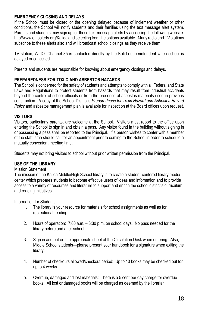#### **EMERGENCY CLOSING AND DELAYS**

If the School must be closed or the opening delayed because of inclement weather or other conditions, the School will notify students and their families using the text message alert system. Parents and students may sign up for these text-message alerts by accessing the following website: http//www.ohioalerts.org/Kalida and selecting from the options available. Many radio and TV stations subscribe to these alerts also and will broadcast school closings as they receive them.

TV station, WLIO -Channel 35 is contacted directly by the Kalida superintendent when school is delayed or cancelled.

Parents and students are responsible for knowing about emergency closings and delays.

#### **PREPAREDNESS FOR TOXIC AND ASBESTOS HAZARDS**

The School is concerned for the safety of students and attempts to comply with all Federal and State Laws and Regulations to protect students from hazards that may result from industrial accidents beyond the control of school officials or from the presence of asbestos materials used in previous construction. A copy of the School District's *Preparedness for Toxic Hazard and Asbestos Hazard Policy* and asbestos management plan is available for inspection at the Board offices upon request.

#### **VISITORS**

Visitors, particularly parents, are welcome at the School. Visitors must report to the office upon entering the School to sign in and obtain a pass. Any visitor found in the building without signing in or possessing a pass shall be reported to the Principal. If a person wishes to confer with a member of the staff, s/he should call for an appointment prior to coming to the School in order to schedule a mutually convenient meeting time.

Students may not bring visitors to school without prior written permission from the Principal.

#### **USE OF THE LIBRARY**

#### Mission Statement

The mission of the Kalida Middle/High School library is to create a student-centered library media center which prepares students to become effective users of ideas and information and to provide access to a variety of resources and literature to support and enrich the school district's curriculum and reading initiatives.

Information for Students:

- 1. The library is your resource for materials for school assignments as well as for recreational reading.
- 2. Hours of operation: 7:00 a.m. 3:30 p.m. on school days. No pass needed for the library before and after school.
- 3. Sign in and out on the appropriate sheet at the Circulation Desk when entering. Also, Middle School students—please present your handbook for a signature when exiting the library.
- 4. Number of checkouts allowed/checkout period: Up to 10 books may be checked out for up to 4 weeks.
- 5. Overdue, damaged and lost materials: There is a 5 cent per day charge for overdue books. All lost or damaged books will be charged as deemed by the librarian.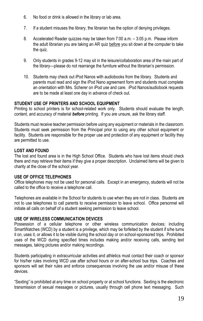- 6. No food or drink is allowed in the library or lab area.
- 7. If a student misuses the library, the librarian has the option of denying privileges.
- 8. Accelerated Reader quizzes may be taken from 7:00 a.m. 3:05 p.m. Please inform the adult librarian you are taking an AR quiz before you sit down at the computer to take the quiz.
- 9. Only students in grades 9-12 may sit in the leisure/collaboration area of the main part of the library—please do not rearrange the furniture without the librarian's permission.
- 10. Students may check out iPod Nanos with audiobooks from the library. Students and parents must read and sign the iPod Nano agreement form and students must complete an orientation with Mrs. Scherer on iPod use and care. iPod Nanos/audiobook requests are to be made at least one day in advance of check out.

#### **STUDENT USE OF PRINTERS AND SCHOOL EQUIPMENT**

Printing to school printers is for school-related work only. Students should evaluate the length, content, and accuracy of material *before* printing. If you are unsure, ask the library staff.

Students must receive teacher permission before using any equipment or materials in the classroom. Students must seek permission from the Principal prior to using any other school equipment or facility. Students are responsible for the proper use and protection of any equipment or facility they are permitted to use.

#### **LOST AND FOUND**

The lost and found area is in the High School Office. Students who have lost items should check there and may retrieve their items if they give a proper description. Unclaimed items will be given to charity at the close of the school year.

#### **USE OF OFFICE TELEPHONES**

Office telephones may not be used for personal calls. Except in an emergency, students will not be called to the office to receive a telephone call.

Telephones are available in the School for students to use when they are not in class. Students are not to use telephones to call parents to receive permission to leave school. Office personnel will initiate all calls on behalf of a student seeking permission to leave school.

#### **USE OF WIRELESS COMMUNICATION DEVICES**

Possession of a cellular telephone or other wireless communication devices; including SmartWatches (WCD) by a student is a privilege, which may be forfeited by the student if s/he turns it on, uses it, or allows it to be visible during the school day or on school-sponsored trips. Prohibited uses of the WCD during specified times includes making and/or receiving calls, sending text messages, taking pictures and/or making recordings.

Students participating in extracurricular activities and athletics must contact their coach or sponsor for his/her rules involving WCD use after school hours or on after-school bus trips. Coaches and sponsors will set their rules and enforce consequences involving the use and/or misuse of these devices.

"Sexting" is prohibited at any time on school property or at school functions. Sexting is the electronic transmission of sexual messages or pictures, usually through cell phone text messaging. Such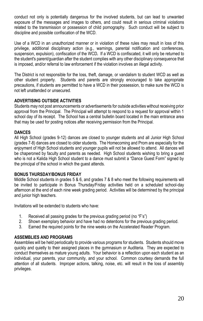conduct not only is potentially dangerous for the involved students, but can lead to unwanted exposure of the messages and images to others, and could result in serious criminal violations related to the transmission or possession of child pornography. Such conduct will be subject to discipline and possible confiscation of the WCD.

Use of a WCD in an unauthorized manner or in violation of these rules may result in loss of this privilege, additional disciplinary action (e.g., warnings, parental notification and conferences, suspension, expulsion), confiscation of the WCD*.* If a WCD is confiscated, it will only be returned to the student's parent/guardian after the student complies with any other disciplinary consequence that is imposed, and/or referral to law enforcement if the violation involves an illegal activity.

The District is not responsible for the loss, theft, damage, or vandalism to student WCD as well as other student property. Students and parents are strongly encouraged to take appropriate precautions, if students are permitted to have a WCD in their possession, to make sure the WCD is not left unattended or unsecured.

#### **ADVERTISING OUTSIDE ACTIVITIES**

Students may not post announcements or advertisements for outside activities without receiving prior approval from the Principal. The Principal will attempt to respond to a request for approval within 1 school day of its receipt. The School has a central bulletin board located in the main entrance area that may be used for posting notices after receiving permission from the Principal.

#### **DANCES**

All High School (grades 9-12) dances are closed to younger students and all Junior High School (grades 7-8) dances are closed to older students. The Homecoming and Prom are especially for the enjoyment of High School students and younger pupils will not be allowed to attend. All dances will be chaperoned by faculty and parents as needed. High School students wishing to bring a guest who is not a Kalida High School student to a dance must submit a "Dance Guest Form" signed by the principal of the school in which the guest attends.

#### **BONUS THURSDAY/BONUS FRIDAY**

Middle School students in grades 5 & 6, and grades 7 & 8 who meet the following requirements will be invited to participate in Bonus Thursday/Friday activities held on a scheduled school-day afternoon at the end of each nine week grading period. Activities will be determined by the principal and junior high teachers.

Invitations will be extended to students who have:

- 1. Received all passing grades for the previous grading period (no "F's")<br>2. Shown exemplary behavior and have had no detentions for the previo
- 2. Shown exemplary behavior and have had no detentions for the previous grading period.
- 3. Earned the required points for the nine weeks on the Accelerated Reader Program.

#### **ASSEMBLIES AND PROGRAMS**

Assemblies will be held periodically to provide various programs for students. Students should move quickly and quietly to their assigned places in the gymnasium or Auditeria. They are expected to conduct themselves as mature young adults. Your behavior is a reflection upon each student as an individual, your parents, your community, and your school. Common courtesy demands the full attention of all students. Improper actions, talking, noise, etc. will result in the loss of assembly privileges.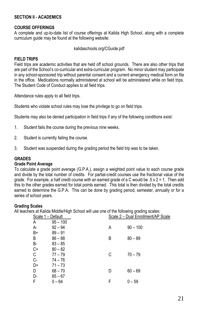#### **SECTION II - ACADEMICS**

#### **COURSE OFFERINGS**

A complete and up-to-date list of course offerings at Kalida High School, along with a complete curriculum guide may be found at the following website:

#### kalidaschools.org/CGuide.pdf

#### **FIELD TRIPS**

Field trips are academic activities that are held off school grounds. There are also other trips that are part of the School's co-curricular and extra-curricular program. No minor student may participate in any school-sponsored trip without parental consent and a current emergency medical form on file in the office. Medications normally administered at school will be administered while on field trips. The Student Code of Conduct applies to all field trips.

Attendance rules apply to all field trips.

Students who violate school rules may lose the privilege to go on field trips.

Students may also be denied participation in field trips if any of the following conditions exist:

- 1. Student fails the course during the previous nine weeks.
- 2. Student is currently failing the course.
- 3. Student was suspended during the grading period the field trip was to be taken.

#### **GRADES**

#### **Grade Point Average**

To calculate a grade point average (G.P.A.), assign a weighted point value to each course grade and divide by the total number of credits. For partial-credit courses use the fractional value of the grade. For example, a half credit course with an earned grade of a C would be  $.5 \times 2 = 1$ . Then add this to the other grades earned for total points earned. This total is then divided by the total credits earned to determine the G.P.A. This can be done by grading period, semester, annually or for a series of school years.

#### **Grading Scales**

All teachers at Kalida Middle/High School will use one of the following grading scales:

| Scale 1 - Default |            | Scale 2 - Dual Enrollment/AP Scale |            |
|-------------------|------------|------------------------------------|------------|
| А                 | $95 - 100$ |                                    |            |
| А-                | $92 - 94$  | A                                  | $90 - 100$ |
| B+                | $89 - 91$  |                                    |            |
| В                 | $86 - 88$  | B                                  | $80 - 89$  |
| B-                | $83 - 85$  |                                    |            |
| $C^+$<br>$C^-$    | $80 - 82$  |                                    |            |
|                   | $77 - 79$  | С                                  | $70 - 79$  |
|                   | 74 – 76    |                                    |            |
| D+                | $71 - 73$  |                                    |            |
| D                 | $68 - 70$  | D                                  | $60 - 69$  |
| D-                | $65 - 67$  |                                    |            |
| F                 | $0 - 64$   | F                                  | $0 - 59$   |
|                   |            |                                    |            |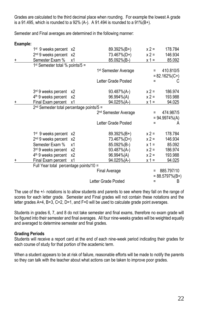Grades are calculated to the third decimal place when rounding. For example the lowest A grade is a 91.495, which is rounded to a  $92\%$  (A-). A 91.494 is rounded to a  $91\%$ (B+).

Semester and Final averages are determined in the following manner:

| Example: |                                            |    |                                  |          |                    |
|----------|--------------------------------------------|----|----------------------------------|----------|--------------------|
|          | 1 <sup>st</sup> 9 weeks percent x2         |    | 89.392%(B+)                      | $x 2 =$  | 178.784            |
|          | $2nd$ 9 weeks percent $x2$                 |    | 73.467%(D+)                      | $x 2 =$  | 146.934            |
| +        | Semester Exam %                            | x1 | 85.092%(B-)                      | $x 1 =$  | 85.092             |
|          | $1st$ Semester total % points/5 =          |    |                                  |          |                    |
|          |                                            |    | 1 <sup>st</sup> Semester Average |          | 410.810/5          |
|          |                                            |    |                                  |          | $= 82.162\%(C+)$   |
|          |                                            |    | Letter Grade Posted              | $\equiv$ |                    |
|          | 3rd 9 weeks percent                        | x2 | 93.487%(A-)                      | $x 2 =$  | 186.974            |
|          | 4 <sup>th</sup> 9 weeks percent            | x2 | 96.994%(A)                       | $x 2 =$  | 193.988            |
| +        | Final Exam percent                         | x1 | 94.025%(A-)                      | $x 1 =$  | 94.025             |
|          | $2nd$ Semester total percentage points/5 = |    |                                  |          |                    |
|          |                                            |    | 2 <sup>nd</sup> Semester Average | $=$      | 474.987/5          |
|          |                                            |    |                                  |          | $= 94.9974\% (A)$  |
|          |                                            |    | Letter Grade Posted              | Ξ        | A                  |
|          | 1 <sup>st</sup> 9 weeks percent            | х2 | 89.392%(B+)                      | $x 2 =$  | 178.784            |
|          | 2 <sup>nd</sup> 9 weeks percent            | x2 | 73.467%(D+)                      | $x 2 =$  | 146.934            |
|          | Semester Exam %                            | x1 | 85.092%(B-)                      | $x 1 =$  | 85.092             |
|          | 3 <sup>rd</sup> 9 weeks percent            | x2 | 93.487%(A-)                      | $x 2 =$  | 186.974            |
|          | 4 <sup>th</sup> 9 weeks percent            | х2 | 96.994%(A)                       | $x 2 =$  | 193.988            |
| +        | Final Exam percent                         | x1 | 94.025%(A-)                      | $x 1 =$  | 94.025             |
|          | Full Year total percentage points/10 =     |    |                                  |          |                    |
|          |                                            |    | <b>Final Average</b>             | $\equiv$ | 885.797/10         |
|          |                                            |    |                                  |          | $= 88.5797\% (B+)$ |
|          |                                            |    | Letter Grade Posted              | $\equiv$ | B                  |

The use of the +/- notations is to allow students and parents to see where they fall on the range of scores for each letter grade. Semester and Final grades will not contain these notations and the letter grades A=4, B=3, C=2, D=1, and F=0 will be used to calculate grade point averages.

Students in grades 6, 7, and 8 do not take semester and final exams, therefore no exam grade will be figured into their semester and final averages. All four nine-weeks grades will be weighted equally and averaged to determine semester and final grades.

#### **Grading Periods**

Students will receive a report card at the end of each nine-week period indicating their grades for each course of study for that portion of the academic term.

When a student appears to be at risk of failure, reasonable efforts will be made to notify the parents so they can talk with the teacher about what actions can be taken to improve poor grades.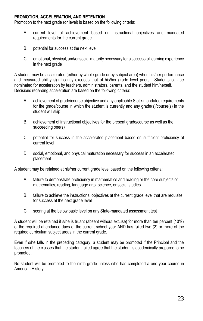#### **PROMOTION, ACCELERATION, AND RETENTION**

Promotion to the next grade (or level) is based on the following criteria:

- A. current level of achievement based on instructional objectives and mandated requirements for the current grade
- B. potential for success at the next level
- C. emotional, physical, and/or social maturity necessary for a successful learning experience in the next grade

A student may be accelerated (either by whole-grade or by subject area) when his/her performance and measured ability significantly exceeds that of his/her grade level peers. Students can be nominated for acceleration by teachers, administrators, parents, and the student him/herself. Decisions regarding acceleration are based on the following criteria:

- A. achievement of grade/course objective and any applicable State-mandated requirements for the grade/course in which the student is currently and any grade(s)/course(s) in the student will skip
- B. achievement of instructional objectives for the present grade/course as well as the succeeding one(s)
- C. potential for success in the accelerated placement based on sufficient proficiency at current level
- D. social, emotional, and physical maturation necessary for success in an accelerated placement

A student may be retained at his/her current grade level based on the following criteria:

- A. failure to demonstrate proficiency in mathematics and reading or the core subjects of mathematics, reading, language arts, science, or social studies.
- B. failure to achieve the instructional objectives at the current grade level that are requisite for success at the next grade level
- C. scoring at the below basic level on any State-mandated assessment test

A student will be retained if s/he is truant (absent without excuse) for more than ten percent (10%) of the required attendance days of the current school year AND has failed two (2) or more of the required curriculum subject areas in the current grade.

Even if s/he falls in the preceding category, a student may be promoted if the Principal and the teachers of the classes that the student failed agree that the student is academically prepared to be promoted.

No student will be promoted to the ninth grade unless s/he has completed a one-year course in American History.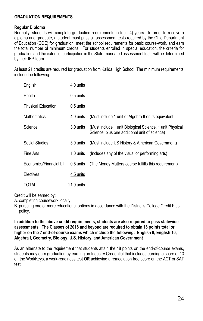#### **GRADUATION REQUIREMENTS**

#### **Regular Diploma**

Normally, students will complete graduation requirements in four (4) years. In order to receive a diploma and graduate, a student must pass all assessment tests required by the Ohio Department of Education (ODE) for graduation, meet the school requirements for basic course-work, and earn the total number of minimum credits. For students enrolled in special education, the criteria for graduation and the extent of participation in the State-mandated assessment tests will be determined by their IEP team.

At least 21 credits are required for graduation from Kalida High School. The minimum requirements include the following:

| English                   | 4.0 units   |                                                                                                           |
|---------------------------|-------------|-----------------------------------------------------------------------------------------------------------|
| Health                    | $0.5$ units |                                                                                                           |
| <b>Physical Education</b> | $0.5$ units |                                                                                                           |
| <b>Mathematics</b>        | 4.0 units   | (Must include 1 unit of Algebra II or its equivalent)                                                     |
| Science                   | 3.0 units   | (Must include 1 unit Biological Science, 1 unit Physical<br>Science, plus one additional unit of science) |
| Social Studies            | 3.0 units   | (Must include US History & American Government)                                                           |
| Fine Arts                 | 1.0 units   | (Includes any of the visual or performing arts)                                                           |
| Economics/Financial Lit.  | 0.5 units   | (The Money Matters course fulfills this requirement)                                                      |
| Electives                 | 4.5 units   |                                                                                                           |
| TOTAL                     | 21.0 units  |                                                                                                           |

Credit will be earned by:

- A. completing coursework locally;
- B. pursuing one or more educational options in accordance with the District's College Credit Plus policy.

#### **In addition to the above credit requirements, students are also required to pass statewide assessments. The Classes of 2018 and beyond are required to obtain 18 points total or higher on the 7 end-of-course exams which include the following: English 9, English 10, Algebra I, Geometry, Biology, U.S. History, and American Government**

As an alternate to the requirement that students attain the 18 points on the end-of-course exams, students may earn graduation by earning an Industry Credential that includes earning a score of 13 on the WorkKeys, a work-readiness test **OR** achieving a remediation free score on the ACT or SAT test.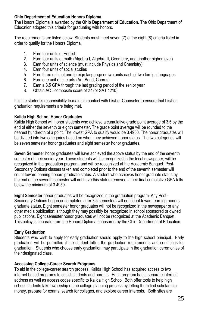#### **Ohio Department of Education Honors Diploma**

The Honors Diploma is awarded by the **Ohio Department of Education.** The Ohio Department of Education adopted this criteria for graduating with honors.

The requirements are listed below. Students must meet seven (7) of the eight (8) criteria listed in order to qualify for the Honors Diploma.

- 1. Earn four units of English
- 2. Earn four units of math (Algebra I, Algebra II, Geometry, and another higher level)<br>3. Earn four units of science (must include Physics and Chemistry)
- Earn four units of science (must include Physics and Chemistry)
- 4. Earn four units of social studies
- 5. Earn three units of one foreign language or two units each of two foreign languages
- 6. Earn one unit of fine arts (Art, Band, Chorus)
- 7. Earn a 3.5 GPA through the last grading period of the senior year
- 8. Obtain ACT composite score of 27 (or SAT 1210).

It is the student's responsibility to maintain contact with his/her Counselor to ensure that his/her graduation requirements are being met.

#### **Kalida High School Honor Graduates**

Kalida High School will honor students who achieve a cumulative grade point average of 3.5 by the end of either the seventh or eighth semester. The grade point average will be rounded to the nearest hundredth of a point. The lowest GPA to qualify would be 3.4950. The honor graduates will be divided into two categories based on when they achieved honor status. The two categories will be seven semester honor graduates and eight semester honor graduates.

**Seven Semester** honor graduates will have achieved the above status by the end of the seventh semester of their senior year. These students will be recognized in the local newspaper, will be recognized in the graduation program, and will be recognized at the Academic Banquet. Post-Secondary Options classes taken and completed prior to the end of the seventh semester will count toward earning honors graduate status. A student who achieves honor graduate status by the end of the seventh semester will not have this status removed if their final cumulative GPA falls below the minimum of 3.4950.

**Eight Semester** honor graduates will be recognized in the graduation program. Any Post-Secondary Options begun or completed after 7.5 semesters will not count toward earning honors graduate status. Eight semester honor graduates will not be recognized in the newspaper or any other media publication; although they may possibly be recognized in school sponsored or owned publications. Eight semester honor graduates will not be recognized at the Academic Banquet. This policy is separate from the Honors Diploma sponsored by the Ohio Department of Education.

#### **Early Graduation**

Students who wish to apply for early graduation should apply to the high school principal. Early graduation will be permitted if the student fulfills the graduation requirements and conditions for graduation. Students who choose early graduation may participate in the graduation ceremonies of their designated class.

#### **Accessing College-Career Search Programs**

To aid in the college-career search process, Kalida High School has acquired access to two internet based programs to assist students and parents. Each program has a separate internet address as well as access codes specific to Kalida High School. Both offer tools to help high school students take ownership of the college planning process by letting them find scholarship money, prepare for exams, search for colleges, and explore career interests. Both sites are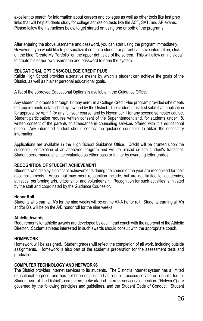excellent to search for information about careers and colleges as well as other tools like test prep links that will help students study for college admission tests like the ACT, SAT, and AP exams. Please follow the instructions below to get started on using one or both of the programs.

After entering the above username and password, you can start using the program immediately. However, if you would like to personalize it so that a student or parent can save information, click on the blue "Create My Portfolio" on the upper right side of the screen. This will allow an individual to create his or her own username and password to open the system.

#### **EDUCATIONAL OPTIONS/COLLEGE CREDIT PLUS**

Kalida High School provides alternative means by which a student can achieve the goals of the District, as well as his/her personal educational goals.

A list of the approved Educational Options is available in the Guidance Office.

Any student in grades 9 through 12 may enroll in a College Credit Plus program provided s/he meets the requirements established by law and by the District. The student must first submit an application for approval by April 1 for any full year course, and by November 1 for any second semester course. Student participation requires written consent of the Superintendent and, for students under 18, written consent of the parents or attendance in counseling services offered with this educational option. Any interested student should contact the guidance counselor to obtain the necessary information.

Applications are available in the High School Guidance Office. Credit will be granted upon the successful completion of an approved program and will be placed on the student's transcript. Student performance shall be evaluated as either pass or fail, or by awarding letter grades.

#### **RECOGNITION OF STUDENT ACHIEVEMENT**

Students who display significant achievements during the course of the year are recognized for their accomplishments. Areas that may merit recognition include, but are not limited to, academics, athletics, performing arts, citizenship, and volunteerism. Recognition for such activities is initiated by the staff and coordinated by the Guidance Counselor.

#### **Honor Roll**

Students who earn all A's for the nine weeks will be on the All-A honor roll. Students earning all A's and/or B's will be on the A/B honor roll for the nine weeks.

#### **Athletic Awards**

Requirements for athletic awards are developed by each head coach with the approval of the Athletic Director. Student athletes interested in such awards should consult with the appropriate coach.

#### **HOMEWORK**

Homework will be assigned. Student grades will reflect the completion of all work, including outside assignments. Homework is also part of the student's preparation for the assessment tests and graduation.

#### **COMPUTER TECHNOLOGY AND NETWORKS**

The District provides Internet services to its students. The District's Internet system has a limited educational purpose, and has not been established as a public access service or a public forum. Student use of the District's computers, network and Internet services/connection ("Network") are governed by the following principles and guidelines, and the Student Code of Conduct. Student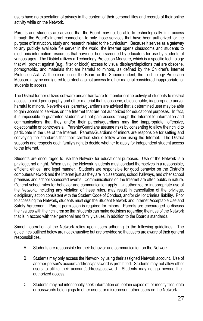users have no expectation of privacy in the content of their personal files and records of their online activity while on the Network.

Parents and students are advised that the Board may not be able to technologically limit access through the Board's Internet connection to only those services that have been authorized for the purpose of instruction, study and research related to the curriculum. Because it serves as a gateway to any publicly available file server in the world, the Internet opens classrooms and students to electronic information resources that have not been screened by educators for use by students of various ages. The District utilizes a Technology Protection Measure, which is a specific technology that will protect against (e.g., filter or block) access to visual displays/depictions that are obscene, pornographic, and materials that are harmful to minors, as defined by the Children's Internet Protection Act. At the discretion of the Board or the Superintendent, the Technology Protection Measure may be configured to protect against access to other material considered inappropriate for students to access.

The District further utilizes software and/or hardware to monitor online activity of students to restrict access to child pornography and other material that is obscene, objectionable, inappropriate and/or harmful to minors. Nevertheless, parents/guardians are advised that a determined user may be able to gain access to services on the Internet that are not authorized for educational purposes. In fact, it is impossible to guarantee students will not gain access through the Internet to information and communications that they and/or their parents/guardians may find inappropriate, offensive, objectionable or controversial. Parents/Guardians assume risks by consenting to allow their child to participate in the use of the Internet. Parents/Guardians of minors are responsible for setting and conveying the standards that their children should follow when using the Internet. The District supports and respects each family's right to decide whether to apply for independent student access to the Internet.

Students are encouraged to use the Network for educational purposes. Use of the Network is a privilege, not a right. When using the Network, students must conduct themselves in a responsible, efficient, ethical, and legal manner. Students are responsible for good behavior on the District's computers/network and the Internet just as they are in classrooms, school hallways, and other school premises and school sponsored events. Communications on the Internet are often public in nature. General school rules for behavior and communication apply. Unauthorized or inappropriate use of the Network, including any violation of these rules, may result in cancellation of the privilege, disciplinary action consistent with the Student Code of Conduct, and/or civil or criminal liability. Prior to accessing the Network*,* students must sign the Student Network and Internet Acceptable Use and Safety Agreement. Parent permission is required for minors. Parents are encouraged to discuss their values with their children so that students can make decisions regarding their use of the Network that is in accord with their personal and family values, in addition to the Board's standards.

Smooth operation of the Network relies upon users adhering to the following guidelines. The guidelines outlined below are not exhaustive but are provided so that users are aware of their general responsibilities.

- A. Students are responsible for their behavior and communication on the Network.
- B. Students may only access the Network by using their assigned Network account. Use of another person's account/address/password is prohibited. Students may not allow other users to utilize their account/address/password. Students may not go beyond their authorized access.
- C. Students may not intentionally seek information on, obtain copies of, or modify files, data or passwords belongings to other users, or misrepresent other users on the Network.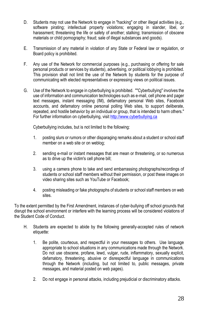- D. Students may not use the Network to engage in "hacking" or other illegal activities (e.g., software pirating; intellectual property violations; engaging in slander, libel, or harassment; threatening the life or safety of another; stalking; transmission of obscene materials or child pornography; fraud; sale of illegal substances and goods).
- E. Transmission of any material in violation of any State or Federal law or regulation, or Board policy is prohibited.
- F. Any use of the Network for commercial purposes (e.g., purchasing or offering for sale personal products or services by students), advertising, or political lobbying is prohibited. This provision shall not limit the use of the Network by students for the purpose of communicating with elected representatives or expressing views on political issues.
- G. Use of the Network to engage in cyberbullying is prohibited. ""Cyberbullying" involves the use of information and communication technologies such as e-mail, cell phone and pager text messages, instant messaging (IM), defamatory personal Web sites, Facebook accounts, and defamatory online personal polling Web sites, to support deliberate, repeated, and hostile behavior by an individual or group, that is intended to harm others." For further information on cyberbullying, visi[t http://www.cyberbullying.ca](http://www.cyberbullying.ca/)

Cyberbullying includes, but is not limited to the following:

- 1. posting slurs or rumors or other disparaging remarks about a student or school staff member on a web site or on weblog;
- 2. sending e-mail or instant messages that are mean or threatening, or so numerous as to drive up the victim's cell phone bill;
- 3. using a camera phone to take and send embarrassing photographs/recordings of students or school staff members without their permission, or post these images on video sharing sites such as YouTube or Facebook;
- 4. posting misleading or fake photographs of students or school staff members on web sites.

To the extent permitted by the First Amendment, instances of cyber-bullying off school grounds that disrupt the school environment or interfere with the learning process will be considered violations of the Student Code of Conduct.

- H. Students are expected to abide by the following generally-accepted rules of network etiquette:
	- 1. Be polite, courteous, and respectful in your messages to others. Use language appropriate to school situations in any communications made through the Network. Do not use obscene, profane, lewd, vulgar, rude, inflammatory, sexually explicit, defamatory, threatening, abusive or disrespectful language in communications through the Network (including, but not limited to, public messages, private messages, and material posted on web pages).
	- 2. Do not engage in personal attacks, including prejudicial or discriminatory attacks.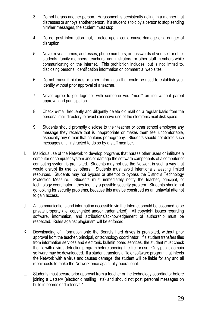- 3. Do not harass another person. Harassment is persistently acting in a manner that distresses or annoys another person. If a student is told by a person to stop sending him/her messages, the student must stop.
- 4. Do not post information that, if acted upon, could cause damage or a danger of disruption.
- 5. Never reveal names, addresses, phone numbers, or passwords of yourself or other students, family members, teachers, administrators, or other staff members while communicating on the Internet. This prohibition includes, but is not limited to, disclosing personal identification information on commercial web sites.
- 6. Do not transmit pictures or other information that could be used to establish your identity without prior approval of a teacher.
- 7. Never agree to get together with someone you "meet" on-line without parent approval and participation.
- 8. Check e-mail frequently and diligently delete old mail on a regular basis from the personal mail directory to avoid excessive use of the electronic mail disk space.
- 9. Students should promptly disclose to their teacher or other school employee any message they receive that is inappropriate or makes them feel uncomfortable, especially any e-mail that contains pornography. Students should not delete such messages until instructed to do so by a staff member.
- I. Malicious use of the Network to develop programs that harass other users or infiltrate a computer or computer system and/or damage the software components of a computer or computing system is prohibited. Students may not use the Network in such a way that would disrupt its use by others. Students must avoid intentionally wasting limited resources. Students may not bypass or attempt to bypass the District's Technology Protection Measure. Students must immediately notify the teacher, principal, or technology coordinator if they identify a possible security problem. Students should not go looking for security problems, because this may be construed as an unlawful attempt to gain access.
- J. All communications and information accessible via the Internet should be assumed to be private property (i.e. copyrighted and/or trademarked). All copyright issues regarding software, information, and attributions/acknowledgement of authorship must be respected. Rules against plagiarism will be enforced.
- K. Downloading of information onto the Board's hard drives is prohibited, without prior approval from the teacher, principal, or technology coordinator. If a student transfers files from information services and electronic bulletin board services, the student must check the file with a virus-detection program before opening the file for use. Only public domain software may be downloaded. If a student transfers a file or software program that infects the Network with a virus and causes damage, the student will be liable for any and all repair costs to make the Network once again fully operational.
- L. Students must secure prior approval from a teacher or the technology coordinator before joining a Listserv (electronic mailing lists) and should not post personal messages on bulletin boards or "Listservs."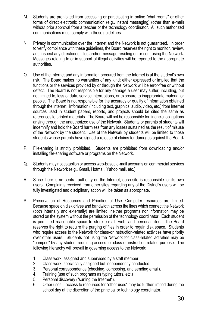- M. Students are prohibited from accessing or participating in online "chat rooms" or other forms of direct electronic communication (e.g., instant messaging) (other than e-mail) without prior approval from a teacher or the technology coordinator. All such authorized communications must comply with these guidelines.
- N. Privacy in communication over the Internet and the Network is not guaranteed. In order to verify compliance with these guidelines, the Board reserves the right to monitor, review, and inspect any directories, files and/or message residing on or sent using the Network. Messages relating to or in support of illegal activities will be reported to the appropriate authorities.
- O. Use of the Internet and any information procured from the Internet is at the student's own risk. The Board makes no warranties of any kind; either expressed or implied that the functions or the services provided by or through the Network will be error-free or without defect. The Board is not responsible for any damage a user may suffer, including, but not limited to, loss of data, service interruptions, or exposure to inappropriate material or people. The Board is not responsible for the accuracy or quality of information obtained through the Internet. Information (including text, graphics, audio, video, etc.) from Internet sources used in student papers, reports, and projects should be cited the same as references to printed materials. The Board will not be responsible for financial obligations arising through the unauthorized use of the Network. Students or parents of students will indemnify and hold the Board harmless from any losses sustained as the result of misuse of the Network by the student. Use of the Network by students will be limited to those students whose parents have signed a release of claims for damages against the Board.
- P. File-sharing is strictly prohibited. Students are prohibited from downloading and/or installing file-sharing software or programs on the Network.
- Q. Students may not establish or access web-based e-mail accounts on commercial services through the Network (e.g., Gmail, Hotmail, Yahoo mail, etc.).
- R. Since there is no central authority on the Internet, each site is responsible for its own users. Complaints received from other sites regarding any of the District's users will be fully investigated and disciplinary action will be taken as appropriate.
- S. Preservation of Resources and Priorities of Use: Computer resources are limited. Because space on disk drives and bandwidth across the lines which connect the Network (both internally and externally) are limited, neither programs nor information may be stored on the system without the permission of the technology coordinator. Each student is permitted reasonable space to store e-mail, web, and personal files. The Board reserves the right to require the purging of files in order to regain disk space. Students who require access to the Network for class-or instruction-related activities have priority over other users. Students not using the Network for class-related activities may be "bumped" by any student requiring access for class-or instruction-related purpose. The following hierarchy will prevail in governing access to the Network:
	- 1. Class work, assigned and supervised by a staff member.
	- 2. Class work, specifically assigned but independently conducted.
	- 3. Personal correspondence (checking, composing, and sending email).<br>4. Training (use of such programs as typing tutors, etc.)
	- Training (use of such programs as typing tutors, etc.)
	- 5. Personal discovery ("surfing the Internet").
	- 6. Other uses access to resources for "other uses" may be further limited during the school day at the discretion of the principal or technology coordinator.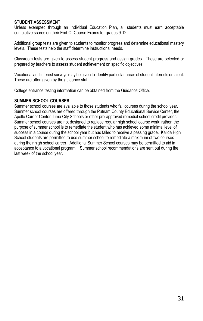#### **STUDENT ASSESSMENT**

Unless exempted through an Individual Education Plan, all students must earn acceptable cumulative scores on their End-Of-Course Exams for grades 9-12.

Additional group tests are given to students to monitor progress and determine educational mastery levels. These tests help the staff determine instructional needs.

Classroom tests are given to assess student progress and assign grades. These are selected or prepared by teachers to assess student achievement on specific objectives.

Vocational and interest surveys may be given to identify particular areas of student interests or talent. These are often given by the guidance staff.

College entrance testing information can be obtained from the Guidance Office.

#### **SUMMER SCHOOL COURSES**

Summer school courses are available to those students who fail courses during the school year. Summer school courses are offered through the Putnam County Educational Service Center, the Apollo Career Center, Lima City Schools or other pre-approved remedial school credit provider. Summer school courses are not designed to replace regular high school course work; rather, the purpose of summer school is to remediate the student who has achieved some minimal level of success in a course during the school year but has failed to receive a passing grade. Kalida High School students are permitted to use summer school to remediate a maximum of two courses during their high school career. Additional Summer School courses may be permitted to aid in acceptance to a vocational program. Summer school recommendations are sent out during the last week of the school year.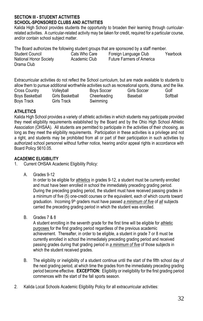#### **SECTION III - STUDENT ACTIVITIES SCHOOL-SPONSORED CLUBS AND ACTIVITIES**

Kalida High School provides students the opportunity to broaden their learning through curricularrelated activities. A curricular-related activity may be taken for credit, required for a particular course, and/or contain school subject matter.

The Board authorizes the following student groups that are sponsored by a staff member.

Student Council **Cats Who Care** Foreign Language Club Yearbook<br>National Honor Society Academic Club Future Farmers of America National Honor Society Drama Club

Extracurricular activities do not reflect the School curriculum, but are made available to students to allow them to pursue additional worthwhile activities such as recreational sports, drama, and the like.<br>Cross Country Colleyball Boys Soccer Girls Soccer Golf Cross Country Volleyball Boys Soccer Girls Soccer Golf Boys Basketball Girls Basketball Cheerleading Baseball Softball Boys Track Girls Track Swimming

### **ATHLETICS**

Kalida High School provides a variety of athletic activities in which students may participate provided they meet eligibility requirements established by the Board and by the Ohio High School Athletic Association (OHSAA). All students are permitted to participate in the activities of their choosing, as long as they meet the eligibility requirements. Participation in these activities is a privilege and not a right, and students may be prohibited from all or part of their participation in such activities by authorized school personnel without further notice, hearing and/or appeal rights in accordance with Board Policy 5610.05.

## **ACADEMIC ELIGIBILITY**

- 1. Current OHSAA Academic Eligibility Policy:
	- A. Grades 9-12

In order to be eligible for athletics in grades 9-12, a student must be currently enrolled and must have been enrolled in school the immediately preceding grading period. During the preceding grading period, the student must have received passing grades in a minimum of five (5) one-credit courses or the equivalent, each of which counts toward graduation. Incoming 9th graders must have passed *a minimum of five* of *all* subjects carried the preceding grading period in which the student was enrolled.

B. Grades 7 & 8

A student enrolling in the seventh grade for the first time will be eligible for athletic purposes for the first grading period regardless of the previous academic achievement. Thereafter, in order to be eligible, a student in grade 7 or 8 must be currently enrolled in school the immediately preceding grading period and received passing grades during that grading period in *a minimum of five* of those subjects in which the student received grades.

- B. The eligibility or ineligibility of a student continue until the start of the fifth school day of the next grading period, at which time the grades from the immediately preceding grading period become effective. **EXCEPTION:** Eligibility or ineligibility for the first grading period commences with the start of the fall sports season.
- 2. Kalida Local Schools Academic Eligibility Policy for all extracurricular activities: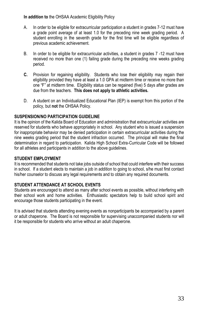**In addition to** the OHSAA Academic Eligibility Policy

- A. In order to be eligible for extracurricular participation a student in grades 7-12 must have a grade point average of at least 1.0 for the preceding nine week grading period. A student enrolling in the seventh grade for the first time will be eligible regardless of previous academic achievement.
- B. In order to be eligible for extracurricular activities, a student in grades 7 -12 must have received no more than one (1) failing grade during the preceding nine weeks grading period.
- **C.** Provision for regaining eligibility. Students who lose their eligibility may regain their eligibility provided they have at least a 1.0 GPA at midterm time or receive no more than one "F" at midterm time. Eligibility status can be regained (five) 5 days after grades are due from the teachers. **This does not apply to athletic activities.**
- D. A student on an Individualized Educational Plan (IEP) is exempt from this portion of the policy, but **not** the OHSAA Policy.

#### **SUSPENSION/NO PARTICIPATION GUIDELINE**

It is the opinion of the Kalida Board of Education and administration that extracurricular activities are reserved for students who behave appropriately in school. Any student who is issued a suspension for inappropriate behavior may be denied participation in certain extracurricular activities during the nine weeks grading period that the student infraction occurred. The principal will make the final determination in regard to participation. Kalida High School Extra-Curricular Code will be followed for all athletes and participants in addition to the above guidelines.

#### **STUDENT EMPLOYMENT**

It is recommended that students not take jobs outside of school that could interfere with their success in school. If a student elects to maintain a job in addition to going to school, s/he must first contact his/her counselor to discuss any legal requirements and to obtain any required documents.

#### **STUDENT ATTENDANCE AT SCHOOL EVENTS**

Students are encouraged to attend as many after school events as possible, without interfering with their school work and home activities. Enthusiastic spectators help to build school spirit and encourage those students participating in the event.

It is advised that students attending evening events as nonparticipants be accompanied by a parent or adult chaperone. The Board is not responsible for supervising unaccompanied students nor will it be responsible for students who arrive without an adult chaperone.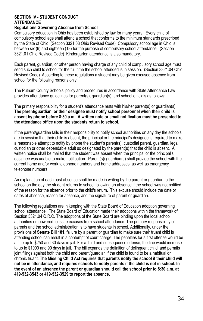#### **SECTION IV - STUDENT CONDUCT ATTENDANCE**

#### **Regulations Governing Absence from School**

Compulsory education in Ohio has been established by law for many years. Every child of compulsory school age shall attend a school that conforms to the minimum standards prescribed by the State of Ohio. (Section 3321.03 Ohio Revised Code) Compulsory school age in Ohio is between six (6) and eighteen (18) for the purpose of compulsory school attendance. (Section 3321.01 Ohio Revised Code) Kindergarten attendance is also mandatory.

Each parent, guardian, or other person having charge of any child of compulsory school age must send such child to school for the full time the school attended is in session. (Section 3321.04 Ohio Revised Code) According to these regulations a student may be given excused absence from school for the following reasons only:

The Putnam County Schools' policy and procedures in accordance with State Attendance Law provides attendance guidelines for parent(s), guardian(s), and school officials as follows:

The primary responsibility for a student's attendance rests with his/her parent(s) or guardian(s). **The parent/guardian, or their designee must notify school personnel when their child is absent by phone before 8:30 a.m. A written note or email notification must be presented to the attendance office upon the students return to school.**

If the parent/guardian fails in their responsibility to notify school authorities on any day the schools are in session that their child is absent, the principal or the principal's designee is required to make a reasonable attempt to notify by phone the student's parent(s), custodial parent, guardian, legal custodian or other dependable adult so designated by the parent(s) that the child is absent. A written notice shall be mailed that the student was absent when the principal or the principal's designee was unable to make notification. Parent(s)/ guardian(s) shall provide the school with their current home and/or work telephone numbers and home addresses, as well as emergency telephone numbers.

An explanation of each past absence shall be made in writing by the parent or guardian to the school on the day the student returns to school following an absence if the school was not notified of the reason for the absence prior to the child's return. This excuse should include the date or dates of absence, reason for absence, and the signature of parent or guardian.

The following regulations are in keeping with the State Board of Education adoption governing school attendance. The State Board of Education made their adoptions within the framework of Section 3321.04 O.R.C. The adoptions of the State Board are binding upon the local school authorities empowered to issue excuses from school attendance. The primary responsibility of parents and the school administration is to have students in school. Additionally, under the provisions of **Senate Bill 181**, failure by a parent or guardian to make sure their truant child is attending school can result in a contempt of court charge. The penalties for a first offense would be a fine up to \$250 and 30 days in jail. For a third and subsequence offense, the fine would increase to up to \$1000 and 90 days in jail. The bill expands the definition of delinquent child, and permits joint filings against both the child and parent/guardian if the child is found to be a habitual or chronic truant. **The Missing Child Act requires that parents notify the school if their child will not be in attendance, and requires schools to notify parents if the child is not in school. In the event of an absence the parent or guardian should call the school prior to 8:30 a.m. at 419-532-3543 or 419-532-3529 to report the absence**.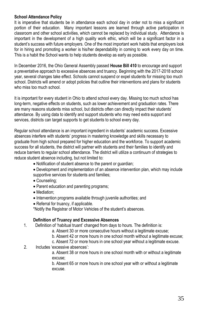#### **School Attendance Policy**

It is imperative that students be in attendance each school day in order not to miss a significant portion of their education. Many important lessons are learned through active participation in classroom and other school activities, which cannot be replaced by individual study. Attendance is important in the development of a high quality work ethic, which will be a significant factor in a student's success with future employers. One of the most important work habits that employers look for in hiring and promoting a worker is his/her dependability in coming to work every day on time. This is a habit the School wants to help students develop as early as possible.

In December 2016, the Ohio General Assembly passed **House Bill 410** to encourage and support a preventative approach to excessive absences and truancy. Beginning with the 2017-2018 school year, several changes take effect. Schools cannot suspend or expel students for missing too much school. Districts will amend or adopt policies that outline their interventions and plans for students who miss too much school.

It is important for every student in Ohio to attend school every day. Missing too much school has long-term, negative effects on students, such as lower achievement and graduation rates. There are many reasons students miss school, but districts often can directly impact their students' attendance. By using data to identify and support students who may need extra support and services, districts can target supports to get students to school every day.

Regular school attendance is an important ingredient in students' academic success. Excessive absences interfere with students' progress in mastering knowledge and skills necessary to graduate from high school prepared for higher education and the workforce. To support academic success for all students, the district will partner with students and their families to identify and reduce barriers to regular school attendance. The district will utilize a continuum of strategies to reduce student absence including, but not limited to:

- Notification of student absence to the parent or guardian;
- Development and implementation of an absence intervention plan, which may include supportive services for students and families;
- Counseling:
- Parent education and parenting programs;
- Mediation;
- Intervention programs available through juvenile authorities; and
- Referral for truancy, if applicable.

\*Notify the Registrar of Motor Vehicles of the student's absences.

#### **Definition of Truancy and Excessive Absences**

- 1. Definition of 'habitual truant' changed from days to hours. The definition is:
	- a. Absent 30 or more consecutive hours without a legitimate excuse;
	- b. Absent 42 or more hours in one school month without a legitimate excuse;
	- c. Absent 72 or more hours in one school year without a legitimate excuse.
- 2. Includes 'excessive absences':

a. Absent 38 or more hours in one school month with or without a legitimate excuse;

b. Absent 65 or more hours in one school year with or without a legitimate excuse.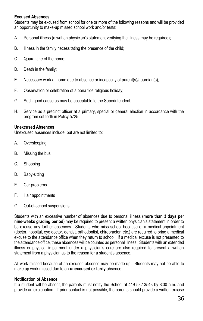#### **Excused Absences**

Students may be excused from school for one or more of the following reasons and will be provided an opportunity to make-up missed school work and/or tests:

- A. Personal illness (a written physician's statement verifying the illness may be required);
- B. Illness in the family necessitating the presence of the child;
- C. Quarantine of the home;
- D. Death in the family;
- E. Necessary work at home due to absence or incapacity of parent(s)/guardian(s);
- F. Observation or celebration of a bona fide religious holiday;
- G. Such good cause as may be acceptable to the Superintendent;
- H. Service as a precinct officer at a primary, special or general election in accordance with the program set forth in Policy 5725.

#### **Unexcused Absences**

Unexcused absences include, but are not limited to:

- A. Oversleeping
- B. Missing the bus
- C. Shopping
- D. Baby-sitting
- E. Car problems
- F. Hair appointments
- G. Out-of-school suspensions

Students with an excessive number of absences due to personal illness **(more than 3 days per nine-weeks grading period)** may be required to present a written physician's statement in order to be excuse any further absences. Students who miss school because of a medical appointment (doctor, hospital, eye doctor, dentist, orthodontist, chiropractor, etc.) are required to bring a medical excuse to the attendance office when they return to school. If a medical excuse is not presented to the attendance office, these absences will be counted as personal illness. Students with an extended illness or physical impairment under a physician's care are also required to present a written statement from a physician as to the reason for a student's absence.

All work missed because of an excused absence may be made up. Students may not be able to make up work missed due to an **unexcused or tardy** absence.

#### **Notification of Absence**

If a student will be absent, the parents must notify the School at 419-532-3543 by 8:30 a.m. and provide an explanation. If prior contact is not possible, the parents should provide a written excuse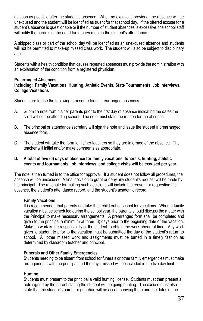as soon as possible after the student's absence. When no excuse is provided, the absence will be unexcused and the student will be identified as truant for that school day. If the offered excuse for a student's absence is questionable or if the number of student absences is excessive, the school staff will notify the parents of the need for improvement in the student's attendance.

A skipped class or part of the school day will be identified as an unexcused absence and students will not be permitted to make-up missed class work. The student will also be subject to disciplinary action.

Students with a health condition that causes repeated absences must provide the administration with an explanation of the condition from a registered physician.

#### **Prearranged Absences**

#### **Including: Family Vacations, Hunting, Athletic Events, State Tournaments, Job Interviews, College Visitations**

Students are to use the following procedure for all prearranged absences:

- A. Submit a note from his/her parents prior to the first day of absence indicating the dates the child will not be attending school. The note must state the reason for the absence.
- B. The principal or attendance secretary will sign the note and issue the student a prearranged absence form.
- C. The student will take the form to his/her teachers so they are informed of the absence. The teacher will initial and/or make comments as appropriate.

#### **D. A total of five (5) days of absence for family vacations, funerals, hunting, athletic events and tournaments, job interviews, and college visits will be excused per year.**

The note is then turned in to the office for approval. If a student does not follow all procedures, the absence will be unexcused. A final decision to grant or deny any student's request will be made by the principal. The rationale for making such decisions will include the reason for requesting the absence, the student's attendance record, and the student's academic record.

#### **Family Vacations**

It is recommended that parents not take their child out of school for vacations. When a family vacation must be scheduled during the school year, the parents should discuss the matter with the Principal to make necessary arrangements. A prearranged form shall be completed and given to the principal a minimum of three (3) days prior to the beginning date of the vacation. Make-up work is the responsibility of the student to obtain the work ahead of time. Any work given to student to prior to the vacation must be submitted the day of the student's return to school. All other missed work and assignments must be turned in a timely fashion as determined by classroom teacher and principal.

#### **Funerals and Other Family Emergencies**

Students needing to be absent from school for funerals or other family emergencies must make arrangements with the principal and the days missed will be included in the five day limit.

#### **Hunting**

Students must present to the principal a valid hunting license. Students must then present a note signed by the parent stating the student will be going hunting. The excuse must also state that the student's parent or guardian will be accompanying them and the dates of the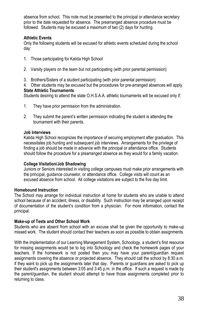absence from school. This note must be presented to the principal or attendance secretary prior to the date requested for absence. The prearranged absence procedure must be followed. Students may be excused a maximum of two (2) days for hunting.

#### **Athletic Events**

Only the following students will be excused for athletic events scheduled during the school day:

- 1. Those participating for Kalida High School
- 2. Varsity players on the team but not participating (with prior parental permission)
- 3. Brothers/Sisters of a student participating (with prior parental permission)
- 4. Other students may be excused but the procedures for pre-arranged absences will apply. **State Athletic Tournaments**

Students desiring to attend the state O.H.S.A.A. athletic tournaments will be excused only if:

- 1. They have prior permission from the administration.
- 2. They submit the parent's written permission indicating the student is attending the tournament with their parents.

#### **Job Interviews**

Kalida High School recognizes the importance of securing employment after graduation. This necessitates job hunting and subsequent job interviews. Arrangements for the privilege of finding a job should be made in advance with the principal or attendance office. Students should follow the procedure for a prearranged absence as they would for a family vacation.

#### **College Visitation/Job Shadowing**

Juniors or Seniors interested in visiting college campuses must make prior arrangements with the principal, guidance counselor, or attendance office. College visits will count as an excused absence from school. All college visitations are subject to the five day limit.

#### **Homebound Instruction**

The School may arrange for individual instruction at home for students who are unable to attend school because of an accident, illness, or disability. Such instruction may be arranged upon receipt of documentation of the student's condition from a physician. For more information, contact the principal.

#### **Make-up of Tests and Other School Work**

Students who are absent from school with an excuse shall be given the opportunity to make-up missed work. The student should contact their teachers as soon as possible to obtain assignments.

With the implementation of our Learning Management System, Schoology, a student's first resource for missing assignments would be to log into Schoology and check the homework pages of your teachers. If the homework is not posted then you may have your parent/guardian request assignments covering the absence or projected absence. They should call the school by 8:30 a.m. if they want to pick up the assignments later that day. Parents or guardians are asked to pick up their student's assignments between 3:05 and 3:45 p.m. in the office. If such a request is made by the parent/guardian, the student should attempt to have those assignments completed prior to returning to class.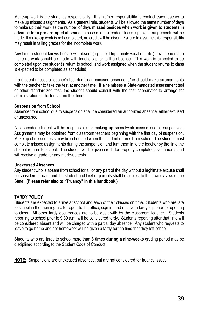Make-up work is the student's responsibility. It is his/her responsibility to contact each teacher to make up missed assignments. As a general rule, students will be allowed the same number of days to make up their work as the number of days **missed besides when work is given to students in advance for a pre-arranged absence**. In case of an extended illness, special arrangements will be made. If make-up work is not completed, no credit will be given. Failure to assume this responsibility may result in failing grades for the incomplete work.

Any time a student knows he/she will absent (e.g., field trip, family vacation, etc.) arrangements to make up work should be made with teachers prior to the absence. This work is expected to be completed upon the student's return to school, and work assigned when the student returns to class is expected to be completed as scheduled.

If a student misses a teacher's test due to an excused absence, s/he should make arrangements with the teacher to take the test at another time. If s/he misses a State-mandated assessment test or other standardized test, the student should consult with the test coordinator to arrange for administration of the test at another time.

#### **Suspension from School**

Absence from school due to suspension shall be considered an authorized absence, either excused or unexcused.

A suspended student will be responsible for making up schoolwork missed due to suspension. Assignments may be obtained from classroom teachers beginning with the first day of suspension. Make up of missed tests may be scheduled when the student returns from school. The student must complete missed assignments during the suspension and turn them in to the teacher by the time the student returns to school. The student will be given credit for properly completed assignments and will receive a grade for any made-up tests.

#### **Unexcused Absences**

Any student who is absent from school for all or any part of the day without a legitimate excuse shall be considered truant and the student and his/her parents shall be subject to the truancy laws of the State. **(Please refer also to "Truancy" in this handbook.)**

#### **TARDY POLICY**

Students are expected to arrive at school and each of their classes on time. Students who are late to school in the morning are to report to the office, sign in, and receive a tardy slip prior to reporting to class. All other tardy occurrences are to be dealt with by the classroom teacher. Students reporting to school prior to 9:30 a.m. will be considered tardy. Students reporting after that time will be considered absent and will be charged with a partial day absence. Any student who requests to leave to go home and get homework will be given a tardy for the time that they left school.

Students who are tardy to school more than **3 times during a nine-weeks** grading period may be disciplined according to the Student Code of Conduct.

**NOTE:** Suspensions are unexcused absences, but are not considered for truancy issues.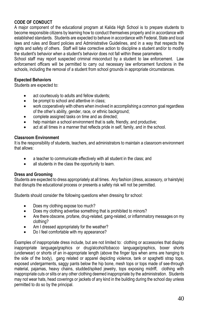#### **CODE OF CONDUCT**

A major component of the educational program at Kalida High School is to prepare students to become responsible citizens by learning how to conduct themselves properly and in accordance with established standards. Students are expected to behave in accordance with Federal, State and local laws and rules and Board policies and Administrative Guidelines, and in a way that respects the rights and safety of others. Staff will take corrective action to discipline a student and/or to modify the student's behavior when a student's behavior does not fall within these parameters.

School staff may report suspected criminal misconduct by a student to law enforcement. Law enforcement officers will be permitted to carry out necessary law enforcement functions in the schools, including the removal of a student from school grounds in appropriate circumstances.

#### **Expected Behaviors**

Students are expected to:

- act courteously to adults and fellow students;
- be prompt to school and attentive in class;
- work cooperatively with others when involved in accomplishing a common goal regardless of the other's ability, gender, race, or ethnic background;
- complete assigned tasks on time and as directed;
- help maintain a school environment that is safe, friendly, and productive:
- act at all times in a manner that reflects pride in self, family, and in the school.

#### **Classroom Environment**

It is the responsibility of students, teachers, and administrators to maintain a classroom environment that allows:

- a teacher to communicate effectively with all student in the class; and
- all students in the class the opportunity to learn.

#### **Dress and Grooming**

Students are expected to dress appropriately at all times. Any fashion (dress, accessory, or hairstyle) that disrupts the educational process or presents a safety risk will not be permitted.

Students should consider the following questions when dressing for school:

- Does my clothing expose too much?
- Does my clothing advertise something that is prohibited to minors?
- Are there obscene, profane, drug-related, gang-related, or inflammatory messages on my clothing?
- Am I dressed appropriately for the weather?
- Do I feel comfortable with my appearance?

Examples of inappropriate dress include, but are not limited to: clothing or accessories that display inappropriate language/graphics or drug/alcohol/tobacco language/graphics, boxer shorts (underwear) or shorts of an in-appropriate length (above the finger tips when arms are hanging to the side of the body), gang related or apparel depicting violence, tank or spaghetti strap tops, exposed undergarments, saggy pants below the hip bone, mesh tops or tops made of see-through material, pajamas, heavy chains, studded/spiked jewelry, tops exposing midriff, clothing with inappropriate cuts or slits or any other clothing deemed inappropriate by the administration. Students may not wear hats, head coverings or jackets of any kind in the building during the school day unless permitted to do so by the principal.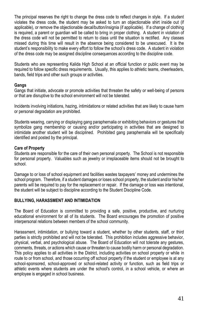The principal reserves the right to change the dress code to reflect changes in style. If a student violates the dress code, the student may be asked to turn an objectionable shirt inside out (if applicable), or remove the objectionable decal/button/insignia (if applicable). If a change of clothing is required, a parent or guardian will be called to bring in proper clothing. A student in violation of the dress code will not be permitted to return to class until the situation is rectified. Any classes missed during this time will result in the absence being considered to be unexcused. It is the student's responsibility to make every effort to follow the school's dress code. A student in violation of the dress code may be assigned discipline consequences according to the discipline code.

Students who are representing Kalida High School at an official function or public event may be required to follow specific dress requirements. Usually, this applies to athletic teams, cheerleaders, bands, field trips and other such groups or activities.

#### **Gangs**

Gangs that initiate, advocate or promote activities that threaten the safety or well-being of persons or that are disruptive to the school environment will not be tolerated.

Incidents involving initiations, hazing, intimidations or related activities that are likely to cause harm or personal degradation are prohibited.

Students wearing, carrying or displaying gang paraphernalia or exhibiting behaviors or gestures that symbolize gang membership or causing and/or participating in activities that are designed to intimidate another student will be disciplined. Prohibited gang paraphernalia will be specifically identified and posted by the principal.

#### **Care of Property**

Students are responsible for the care of their own personal property. The School is not responsible for personal property. Valuables such as jewelry or irreplaceable items should not be brought to school.

Damage to or loss of school equipment and facilities wastes taxpayers' money and undermines the school program. Therefore, if a student damages or loses school property, the student and/or his/her parents will be required to pay for the replacement or repair. If the damage or loss was intentional, the student will be subject to discipline according to the Student Discipline Code.

#### **BULLYING, HARASSMENT AND INTIMIDATION**

The Board of Education is committed to providing a safe, positive, productive, and nurturing educational environment for all of its students. The Board encourages the promotion of positive interpersonal relations between members of the school community.

Harassment, intimidation, or bullying toward a student, whether by other students, staff, or third parties is strictly prohibited and will not be tolerated. This prohibition includes aggressive behavior, physical, verbal, and psychological abuse. The Board of Education will not tolerate any gestures, comments, threats, or actions which cause or threaten to cause bodily harm or personal degradation. This policy applies to all activities in the District, including activities on school property or while in route to or from school, and those occurring off school property if the student or employee is at any school-sponsored, school-approved or school-related activity or function, such as field trips or athletic events where students are under the school's control, in a school vehicle, or where an employee is engaged in school business.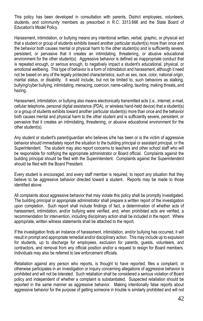This policy has been developed in consultation with parents, District employees, volunteers, students, and community members as prescribed in R.C. 3313.666 and the State Board of Education's Model Policy.

Harassment, intimidation, or bullying means any intentional written, verbal, graphic, or physical act that a student or group of students exhibits toward another particular student(s) more than once and the behavior both causes mental or physical harm to the other student(s) and is sufficiently severe, persistent, or pervasive that it creates an intimidating, threatening, or abusive educational environment for the other student(s). Aggressive behavior is defined as inappropriate conduct that is repeated enough, or serious enough, to negatively impact a student's educational, physical, or emotional wellbeing. This type of behavior is a form of intimidation and harassment, although it need not be based on any of the legally protected characteristics, such as sex, race, color, national origin, marital status, or disability. It would include, but not be limited to, such behaviors as stalking, bullying/cyber bullying, intimidating, menacing, coercion, name-calling, taunting, making threats, and hazing.

Harassment, intimidation, or bullying also means electronically transmitted acts (i.e., internet, e-mail, cellular telephone, personal digital assistance (PDA), or wireless hand-held device) that a student(s) or a group of students exhibits toward another particular student(s) more than once and the behavior both causes mental and physical harm to the other student and is sufficiently severe, persistent, or pervasive that it creates an intimidating, threatening, or abusive educational environment for the other student(s).

Any student or student's parent/guardian who believes s/he has been or is the victim of aggressive behavior should immediately report the situation to the building principal or assistant principal, or the Superintendent. The student may also report concerns to teachers and other school staff who will be responsible for notifying the appropriate administrator or Board official. Complaints against the building principal should be filed with the Superintendent. Complaints against the Superintendent should be filed with the Board President.

Every student is encouraged, and every staff member is required, to report any situation that they believe to be aggressive behavior directed toward a student. Reports may be made to those identified above.

All complaints about aggressive behavior that may violate this policy shall be promptly investigated. The building principal or appropriate administrator shall prepare a written report of the investigation upon completion. Such report shall include findings of fact, a determination of whether acts of harassment, intimidation, and/or bullying were verified, and, when prohibited acts are verified, a recommendation for intervention, including disciplinary action shall be included in the report. Where appropriate, written witness statements shall be attached to the report.

If the investigation finds an instance of harassment, intimidation, and/or bullying has occurred, it will result in prompt and appropriate remedial and/or disciplinary action. This may include up to expulsion for students, up to discharge for employees, exclusion for parents, guests, volunteers, and contractors, and removal from any official position and/or a request to resign for Board members. Individuals may also be referred to law enforcement officials.

Retaliation against any person who reports, is thought to have reported, files a complaint, or otherwise participates in an investigation or inquiry concerning allegations of aggressive behavior is prohibited and will not be tolerated. Such retaliation shall be considered a serious violation of Board policy and independent of whether a complaint is substantiated. Suspected retaliation should be reported in the same manner as aggressive behavior. Making intentionally false reports about aggressive behavior for the purpose of getting someone in trouble is similarly prohibited and will not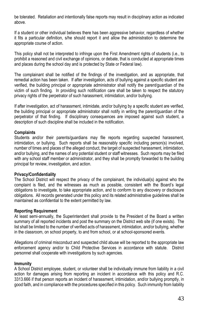be tolerated. Retaliation and intentionally false reports may result in disciplinary action as indicated above.

If a student or other individual believes there has been aggressive behavior, regardless of whether it fits a particular definition, s/he should report it and allow the administration to determine the appropriate course of action.

This policy shall not be interpreted to infringe upon the First Amendment rights of students (i.e., to prohibit a reasoned and civil exchange of opinions, or debate, that is conducted at appropriate times and places during the school day and is protected by State or Federal law).

The complainant shall be notified of the findings of the investigation, and as appropriate, that remedial action has been taken. If after investigation, acts of bullying against a specific student are verified, the building principal or appropriate administrator shall notify the parent/guardian of the victim of such finding. In providing such notification care shall be taken to respect the statutory privacy rights of the perpetrator of such harassment, intimidation, and/or bullying.

If after investigation, act of harassment, intimidate, and/or bullying by a specific student are verified, the building principal or appropriate administrator shall notify in writing the parent/guardian of the perpetrator of that finding. If disciplinary consequences are imposed against such student, a description of such discipline shall be included in the notification.

#### **Complaints**

Students and/or their parents/guardians may file reports regarding suspected harassment, intimidation, or bullying. Such reports shall be reasonably specific including person(s) involved, number of times and places of the alleged conduct, the target of suspected harassment, intimidation, and/or bullying, and the names of any potential student or staff witnesses. Such reports may be filed with any school staff member or administrator, and they shall be promptly forwarded to the building principal for review, investigation, and action.

#### **Privacy/Confidentiality**

The School District will respect the privacy of the complainant, the individual(s) against who the complaint is filed, and the witnesses as much as possible, consistent with the Board's legal obligations to investigate, to take appropriate action, and to conform to any discovery or disclosure obligations. All records generated under this policy and its related administrative guidelines shall be maintained as confidential to the extent permitted by law.

#### **Reporting Requirement**

At least semi-annually, the Superintendent shall provide to the President of the Board a written summary of all reported incidents and post the summary on the District web site (if one exists). The list shall be limited to the number of verified acts of harassment, intimidation, and/or bullying, whether in the classroom, on school property, to and from school, or at school-sponsored events.

Allegations of criminal misconduct and suspected child abuse will be reported to the appropriate law enforcement agency and/or to Child Protective Services in accordance with statute. District personnel shall cooperate with investigations by such agencies.

#### **Immunity**

A School District employee, student, or volunteer shall be individually immune from liability in a civil action for damages arising from reporting an incident in accordance with this policy and R.C. 3313.666 if that person reports an incident of harassment, intimidation, and/or bullying promptly, in good faith, and in compliance with the procedures specified in this policy. Such immunity from liability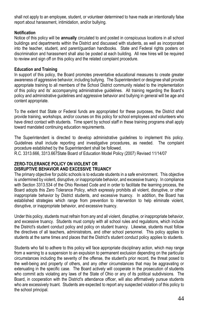shall not apply to an employee, student, or volunteer determined to have made an intentionally false report about harassment, intimidation, and/or bullying.

#### **Notification**

Notice of this policy will be **annually** circulated to and posted in conspicuous locations in all school buildings and departments within the District and discussed with students, as well as incorporated into the teacher, student, and parent/guardian handbooks. State and Federal rights posters on discrimination and harassment shall also be posted at each building. All new hires will be required to review and sign off on this policy and the related complaint procedure.

#### **Education and Training**

In support of this policy, the Board promotes preventative educational measures to create greater awareness of aggressive behavior, including bullying. The Superintendent or designee shall provide appropriate training to all members of the School District community related to the implementation of this policy and its' accompanying administrative guidelines. All training regarding the Board's policy and administrative guidelines and aggressive behavior and bullying in general will be age and content appropriate.

To the extent that State or Federal funds are appropriated for these purposes, the District shall provide training, workshops, and/or courses on this policy for school employees and volunteers who have direct contact with students. Time spent by school staff in these training programs shall apply toward mandated continuing education requirements.

The Superintendent is directed to develop administrative guidelines to implement this policy. Guidelines shall include reporting and investigative procedures, as needed. The complaint procedure established by the Superintendent shall be followed.

R.C. 3313.666, 3313.667State Board of Education Model Policy (2007) Revised 11/14/07

#### **ZERO-TOLERANCE POLICY ON VIOLENT OR DISRUPTIVE BEHAVIOR AND EXCESSIVE TRUANCY**

The primary objective for public schools is to educate students in a safe environment. This objective is undermined by violent, disruptive, or inappropriate behavior, and excessive truancy. In compliance with Section 3313.534 of the Ohio Revised Code and in order to facilitate the learning process, the Board adopts this Zero Tolerance Policy, which expressly prohibits all violent, disruptive, or other inappropriate behavior by District students, and excessive truancy. In addition, the Board has established strategies which range from prevention to intervention to help eliminate violent, disruptive, or inappropriate behavior, and excessive truancy.

Under this policy, students must refrain from any and all violent, disruptive, or inappropriate behavior, and excessive truancy. Students must comply with all school rules and regulations, which include the District's student conduct policy and policy on student truancy. Likewise, students must follow the directives of all teachers, administrators, and other school personnel. This policy applies to students at the same times and places that the District's student conduct policy applies to students.

Students who fail to adhere to this policy will face appropriate disciplinary action, which may range from a warning to a suspension to an expulsion to permanent exclusion depending on the particular circumstances including the severity of the offense, the student's prior record, the threat posed to the well-being and property of others, and any other circumstances that may be aggravating or extenuating in the specific case. The Board actively will cooperate in the prosecution of students who commit acts violating any laws of the State of Ohio or any of its political subdivisions. The Board, in cooperation with the District's attendance officer, will also affirmatively pursue students who are excessively truant. Students are expected to report any suspected violation of this policy to the school principal.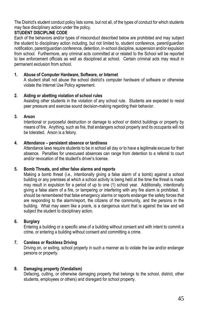The District's student conduct policy lists some, but not all, of the types of conduct for which students may face disciplinary action under the policy.

#### **STUDENT DISCIPLINE CODE**

Each of the behaviors and/or types of misconduct described below are prohibited and may subject the student to disciplinary action including, but not limited to, student conference, parent/guardian notification, parent/guardian conference, detention, in-school discipline, suspension and/or expulsion from school. Furthermore, any criminal acts committed at or related to the School will be reported to law enforcement officials as well as disciplined at school. Certain criminal acts may result in permanent exclusion from school.

#### **1. Abuse of Computer Hardware, Software, or Internet**

A student shall not abuse the school district's computer hardware of software or otherwise violate the Internet Use Policy agreement.

#### **2. Aiding or abetting violation of school rules**

Assisting other students in the violation of any school rule. Students are expected to resist peer pressure and exercise sound decision-making regarding their behavior.

#### **3. Arson**

Intentional or purposeful destruction or damage to school or district buildings or property by means of fire. Anything, such as fire, that endangers school property and its occupants will not be tolerated. Arson is a felony.

#### **4. Attendance – persistent absence or tardiness**

Attendance laws require students to be in school all day or to have a legitimate excuse for their absence. Penalties for unexcused absences can range from detention to a referral to court and/or revocation of the student's driver's license.

#### **5. Bomb Threats, and other false alarms and reports**

Making a bomb threat (i.e., intentionally giving a false alarm of a bomb) against a school building or any premises at which a school activity is being held at the time the threat is made may result in expulsion for a period of up to one (1) school year. Additionally, intentionally giving a false alarm of a fire, or tampering or interfering with any fire alarm is prohibited. It should be remembered that false emergency alarms or reports endanger the safety forces that are responding to the alarm/report, the citizens of the community, and the persons in the building. What may seem like a prank, is a dangerous stunt that is against the law and will subject the student to disciplinary action.

#### **6. Burglary**

Entering a building or a specific area of a building without consent and with intent to commit a crime, or entering a building without consent and committing a crime.

#### **7. Careless or Reckless Driving**

Driving on, or exiting, school property in such a manner as to violate the law and/or endanger persons or property.

#### **8. Damaging property (Vandalism)**

Defacing, cutting, or otherwise damaging property that belongs to the school, district, other students, employees or others) and disregard for school property.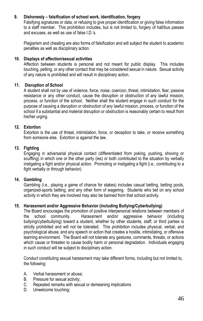#### **9. Dishonesty – falsification of school work, identification, forgery**

Falsifying signatures or data, or refusing to give proper identification or giving false information to a staff member. This prohibition includes, but is not limited to, forgery of hall/bus passes and excuses, as well as use of false I.D.'s.

Plagiarism and cheating are also forms of falsification and will subject the student to academic penalties as well as disciplinary action.

#### **10. Displays of affection/sexual activities**

Affection between students is personal and not meant for public display. This includes touching, petting, or any other contact that may be considered sexual in nature. Sexual activity of any nature is prohibited and will result in disciplinary action.

#### **11. Disruption of School**

A student shall not by use of violence, force, noise, coercion, threat, intimidation, fear, passive resistance or any other conduct, cause the disruption or obstruction of any lawful mission, process, or function of the school. Neither shall the student engage in such conduct for the purpose of causing a disruption or obstruction of any lawful mission, process, or function of the school if a substantial and material disruption or obstruction is reasonably certain to result from his/her urging.

#### **12. Extortion**

Extortion is the use of threat, intimidation, force, or deception to take, or receive something from someone else. Extortion is against the law.

#### **13. Fighting**

Engaging in adversarial physical contact (differentiated from poking, pushing, shoving or scuffling) in which one or the other party (ies) or both contributed to the situation by verbally instigating a fight and/or physical action. Promoting or instigating a fight (i.e., contributing to a fight verbally or through behavior).

#### **14. Gambling**

Gambling (i.e., playing a game of chance for stakes) includes casual betting, betting pools, organized-sports betting, and any other form of wagering. Students who bet on any school activity in which they are involved may also be banned from that school activity.

#### **15. Harassment and/or Aggressive Behavior (including Bullying/Cyberbullying)**

The Board encourages the promotion of positive interpersonal relations between members of the school community. Harassment and/or aggressive behavior (including bullying/cyberbullying) toward a student, whether by other students, staff, or third parties is strictly prohibited and will not be tolerated. This prohibition includes physical, verbal, and psychological abuse, and any speech or action that creates a hostile, intimidating, or offensive learning environment. The Board will not tolerate any gestures, comments, threats, or actions which cause or threaten to cause bodily harm or personal degradation. Individuals engaging in such conduct will be subject to disciplinary action.

Conduct constituting sexual harassment may take different forms, including but not limited to, the following:

- A. Verbal harassment or abuse;
- B. Pressure for sexual activity;
- C. Repeated remarks with sexual or demeaning implications
- D. Unwelcome touching;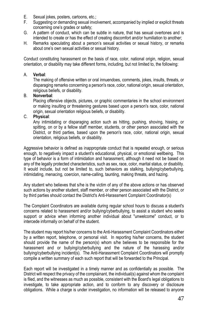- E. Sexual jokes, posters, cartoons, etc.;
- F. Suggesting or demanding sexual involvement, accompanied by implied or explicit threats concerning one's grades or safety;
- G. A pattern of conduct, which can be subtle in nature, that has sexual overtones and is intended to create or has the effect of creating discomfort and/or humiliation to another;
- H. Remarks speculating about a person's sexual activities or sexual history, or remarks about one's own sexual activities or sexual history.

Conduct constituting harassment on the basis of race, color, national origin, religion, sexual orientation, or disability may take different forms, including, but not limited to, the following:

#### A. **Verbal**:

The making of offensive written or oral innuendoes, comments, jokes, insults, threats, or disparaging remarks concerning a person's race, color, national origin, sexual orientation, religious beliefs, or disability.

#### B. **Nonverbal**:

Placing offensive objects, pictures, or graphic commentaries in the school environment or making insulting or threatening gestures based upon a person's race, color, national origin, sexual orientation religious beliefs, or disability.

#### C. **Physical**:

Any intimidating or disparaging action such as hitting, pushing, shoving, hissing, or spitting, on or by a fellow staff member, students, or other person associated with the District, or third parties, based upon the person's race, color, national origin, sexual orientation, religious beliefs, or disability.

Aggressive behavior is defined as inappropriate conduct that is repeated enough, or serious enough, to negatively impact a student's educational, physical, or emotional wellbeing. This type of behavior is a form of intimidation and harassment, although it need not be based on any of the legally protected characteristics, such as sex, race, color, marital status, or disability. It would include, but not be limited to, such behaviors as stalking, bullying/cyberbullying, intimidating, menacing, coercion, name-calling, taunting, making threats, and hazing.

Any student who believes that s/he is the victim of any of the above actions or has observed such actions by another student, staff member, or other person associated with the District, or by third parties should contact the District's Anti-Harassment Complaint Coordinator(s)

The Complaint Coordinators are available during regular school hours to discuss a student's concerns related to harassment and/or bullying/cyberbullying, to assist a student who seeks support or advice when informing another individual about "unwelcome" conduct, or to intercede informally on behalf of the student.

The student may report his/her concerns to the Anti-Harassment Complaint Coordinators either by a written report, telephone, or personal visit. In reporting his/her concerns, the student should provide the name of the person(s) whom s/he believes to be responsible for the harassment and or bullying/cyberbullying and the nature of the harassing and/or bullying/cyberbullying incident(s). The Anti-Harassment Complaint Coordinators will promptly compile a written summary of each such report that will be forwarded to the Principal.

Each report will be investigated in a timely manner and as confidentially as possible. The District will respect the privacy of the complainant, the individual(s) against whom the complaint is filed, and the witnesses as much as possible, consistent with the Board's legal obligations to investigate, to take appropriate action, and to conform to any discovery or disclosure obligations. While a charge is under investigation, no information will be released to anyone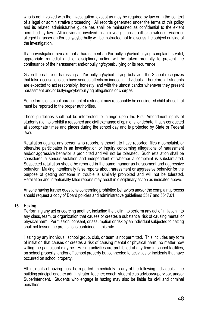who is not involved with the investigation, except as may be required by law or in the context of a legal or administrative proceeding. All records generated under the terms of this policy and its related administrative guidelines shall be maintained as confidential to the extent permitted by law. All individuals involved in an investigation as either a witness, victim or alleged harasser and/or bully/cyberbully will be instructed not to discuss the subject outside of the investigation.

If an investigation reveals that a harassment and/or bullying/cyberbullying complaint is valid, appropriate remedial and or disciplinary action will be taken promptly to prevent the continuance of the harassment and/or bullying/cyberbullying or its recurrence.

Given the nature of harassing and/or bullying/cyberbullying behavior, the School recognizes that false accusations can have serious effects on innocent individuals. Therefore, all students are expected to act responsibly, honestly, and with the utmost candor whenever they present harassment and/or bullying/cyberbullying allegations or charges.

Some forms of sexual harassment of a student may reasonably be considered child abuse that must be reported to the proper authorities.

These guidelines shall not be interpreted to infringe upon the First Amendment rights of students (i.e., to prohibit a reasoned and civil exchange of opinions, or debate, that is conducted at appropriate times and places during the school day and is protected by State or Federal law).

Retaliation against any person who reports, is thought to have reported, files a complaint, or otherwise participates in an investigation or inquiry concerning allegations of harassment and/or aggressive behavior is prohibited and will not be tolerated. Such retaliation shall be considered a serious violation and independent of whether a complaint is substantiated. Suspected retaliation should be reported in the same manner as harassment and aggressive behavior. Making intentionally false reports about harassment or aggressive behavior for the purpose of getting someone in trouble is similarly prohibited and will not be tolerated. Retaliation and intentionally false reports may result in disciplinary action as indicated above.

Anyone having further questions concerning prohibited behaviors and/or the complaint process should request a copy of Board policies and administrative guidelines 5517 and 5517.01.

#### **16. Hazing**

Performing any act or coercing another, including the victim, to perform any act of initiation into any class, team, or organization that causes or creates a substantial risk of causing mental or physical harm. Permission, consent, or assumption or risk by an individual subjected to hazing shall not lessen the prohibitions contained in this rule.

Hazing by any individual, school group, club, or team is not permitted. This includes any form of initiation that causes or creates a risk of causing mental or physical harm, no matter how willing the participant may be. Hazing activities are prohibited at any time in school facilities, on school property, and/or off school property but connected to activities or incidents that have occurred on school property.

All incidents of hazing must be reported immediately to any of the following individuals: the building principal or other administrator; teacher; coach; student club advisor/supervisor, and/or Superintendent. Students who engage in hazing may also be liable for civil and criminal penalties.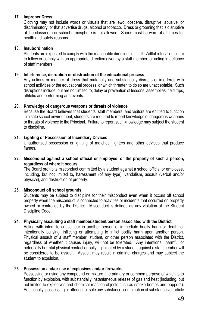#### **17. Improper Dress**

Clothing may not include words or visuals that are lewd, obscene, disruptive, abusive, or discriminatory, or that advertise drugs, alcohol or tobacco. Dress or grooming that is disruptive of the classroom or school atmosphere is not allowed. Shoes must be worn at all times for health and safety reasons.

#### **18. Insubordination**

Students are expected to comply with the reasonable directions of staff. Willful refusal or failure to follow or comply with an appropriate direction given by a staff member, or acting in defiance of staff members.

#### **19. Interference, disruption or obstruction of the educational process**

Any actions or manner of dress that materially and substantially disrupts or interferes with school activities or the educational process, or which threaten to do so are unacceptable. Such disruptions include, but are not limited to, delay or prevention of lessons, assemblies, field trips, athletic and performing arts events.

#### **20. Knowledge of dangerous weapons or threats of violence**

Because the Board believes that students, staff members, and visitors are entitled to function in a safe school environment, students are required to report knowledge of dangerous weapons or threats of violence to the Principal. Failure to report such knowledge may subject the student to discipline.

#### **21. Lighting or Possession of Incendiary Devices**

Unauthorized possession or igniting of matches, lighters and other devices that produce flames.

**22. Misconduct against a school official or employee**, **or the property of such a person, regardless of where it occurs.**

The Board prohibits misconduct committed by a student against a school official or employee, including*,* but not limited to*,* harassment (of any type), vandalism, assault (verbal and/or physical), and destruction of property.

#### **23. Misconduct off school grounds**

Students may be subject to discipline for their misconduct even when it occurs off school property when the misconduct is connected to activities or incidents that occurred on property owned or controlled by the District. Misconduct is defined as any violation of the Student Discipline Code.

#### **24. Physically assaulting a staff member/student/person associated with the District.**

Acting with intent to cause fear in another person of immediate bodily harm or death, or intentionally bullying, inflicting or attempting to inflict bodily harm upon another person. Physical assault of a staff member, student, or other person associated with the District, regardless of whether it causes injury, will not be tolerated. Any intentional, harmful or potentially harmful physical contact or bullying initiated by a student against a staff member will be considered to be assault. Assault may result in criminal charges and may subject the student to expulsion.

#### **25. Possession and/or use of explosives and/or fireworks**

Possessing or using any compound or mixture, the primary or common purpose of which is to function by explosion, with substantially instantaneous release of gas and heat (including, but not limited to explosives and chemical-reaction objects such as smoke bombs and poppers). Additionally, possessing or offering for sale any substance, combination of substances or article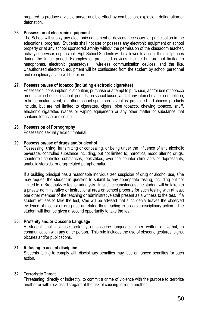prepared to produce a visible and/or audible effect by combustion, explosion, deflagration or detonation.

#### **26. Possession of electronic equipment**

The School will supply any electronic equipment or devices necessary for participation in the educational program. Students shall not use or possess any electronic equipment on school property or at any school sponsored activity without the permission of the classroom teacher, activity supervisor, or principal. High School Students will be allowed to access their cellphones during the lunch period. Examples of prohibited devices include but are not limited to headphones, electronic games/toys, , wireless communication devices, and the like. Unauthorized electronic equipment will be confiscated from the student by school personnel and disciplinary action will be taken.

#### **27. Possession/use of tobacco (including electronic cigarettes)**

Possession, consumption, distribution, purchase or attempt to purchase, and/or use of tobacco products in school, on school grounds, on school buses, and at any interscholastic competition, extra-curricular event, or other school-sponsored event is prohibited. Tobacco products include, but are not limited to cigarettes, cigars, pipe tobacco, chewing tobacco, snuff, electronic cigarettes (vapes or vaping equipment) or any other matter or substance that contains tobacco or nicotine.

#### **28. Possession of Pornography**

Possessing sexually explicit material.

#### **29. Possession/use of drugs and/or alcohol**

Possessing, using, transmitting or concealing, or being under the influence of any alcoholic beverage, controlled substance including, but not limited to, narcotics, mood altering drugs, counterfeit controlled substances, look-alikes, over the counter stimulants or depressants, anabolic steroids, or drug-related paraphernalia.

If a building principal has a reasonable individualized suspicion of drug or alcohol use, s/he may request the student in question to submit to any appropriate testing, including but not limited to, a Breathalyzer test or urinalysis. In such circumstances, the student will be taken to a private administrative or instructional area on school property for such testing with at least one other member of the teaching or administrative staff present as a witness to the test. If a student refuses to take the test, s/he will be advised that such denial leaves the observed evidence of alcohol or drug use unrefuted thus leading to possible disciplinary action. The student will then be given a second opportunity to take the test.

#### **30. Profanity and/or Obscene Language**

A student shall not use profanity or obscene language, either written or verbal, in communication with any other person. This rule includes the use of obscene gestures, signs, pictures and/or publications.

#### **31. Refusing to accept discipline**

Students failing to comply with disciplinary penalties may face enhanced penalties for such action.

#### **32. Terroristic Threat**

Threatening, directly or indirectly, to commit a crime of violence with the purpose to terrorize another or with reckless disregard of the risk of causing terror in another.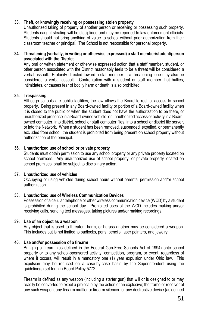#### **33. Theft, or knowingly receiving or possessing stolen property**

Unauthorized taking of property of another person or receiving or possessing such property. Students caught stealing will be disciplined and may be reported to law enforcement officials. Students should not bring anything of value to school without prior authorization from their classroom teacher or principal. The School is not responsible for personal property.

#### **34. Threatening (verbally, in writing or otherwise expressed) a staff member/student/person associated with the District.**

Any oral or written statement or otherwise expressed action that a staff member, student, or other person associated with the District reasonably feels to be a threat will be considered a verbal assault. Profanity directed toward a staff member in a threatening tone may also be considered a verbal assault. Confrontation with a student or staff member that bullies, intimidates, or causes fear of bodily harm or death is also prohibited.

#### **35. Trespassing**

Although schools are public facilities, the law allows the Board to restrict access to school property. Being present in any Board-owned facility or portion of a Board-owned facility when it is closed to the public or when the student does not have the authorization to be there, or unauthorized presence in a Board-owned vehicle; or unauthorized access or activity in a Boardowned computer, into district, school or staff computer files, into a school or district file server, or into the Network. When a student has been removed, suspended, expelled, or permanently excluded from school, the student is prohibited from being present on school property without authorization of the principal.

#### **36. Unauthorized use of school or private property**

Students must obtain permission to use any school property or any private property located on school premises. Any unauthorized use of school property, or private property located on school premises, shall be subject to disciplinary action.

#### **37. Unauthorized use of vehicles**

Occupying or using vehicles during school hours without parental permission and/or school authorization.

#### **38. Unauthorized use of Wireless Communication Devices**

Possession of a cellular telephone or other wireless communication device (WCD) by a student is prohibited during the school day. Prohibited uses of the WCD includes making and/or receiving calls, sending text messages, taking pictures and/or making recordings.

#### **39. Use of an object as a weapon**

Any object that is used to threaten, harm, or harass another may be considered a weapon. This includes but is not limited to padlocks, pens, pencils, laser pointers, and jewelry.

#### **40. Use and/or possession of a firearm**

Bringing a firearm (as defined in the Federal Gun-Free Schools Act of 1994) onto school property or to any school-sponsored activity, competition, program, or event, regardless of where it occurs, will result in a mandatory one (1) year expulsion under Ohio law. This expulsion may be reduced on a case-by-case basis by the Superintendent using the guideline(s) set forth in Board Policy 5772.

Firearm is defined as any weapon (including a starter gun) that will or is designed to or may readily be converted to expel a projectile by the action of an explosive; the frame or receiver of any such weapon; any firearm muffler or firearm silencer; or any destructive device (as defined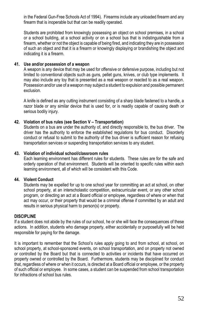in the Federal Gun-Free Schools Act of 1994). Firearms include any unloaded firearm and any firearm that is inoperable but that can be readily operated.

Students are prohibited from knowingly possessing an object on school premises, in a school or a school building, at a school activity or on a school bus that is indistinguishable from a firearm, whether or not the object is capable of being fired, and indicating they are in possession of such an object and that it is a firearm or knowingly displaying or brandishing the object and indicating it is a firearm.

#### **41. Use and/or possession of a weapon**

A weapon is any device that may be used for offensive or defensive purpose, including but not limited to conventional objects such as guns, pellet guns, knives, or club type implements. It may also include any toy that is presented as a real weapon or reacted to as a real weapon. Possession and/or use of a weapon may subject a student to expulsion and possible permanent exclusion.

A knife is defined as any cutting instrument consisting of a sharp blade fastened to a handle, a razor blade or any similar device that is used for, or is readily capable of causing death or serious bodily injury.

#### **42. Violation of bus rules (see Section V – Transportation)**

Students on a bus are under the authority of, and directly responsible to, the bus driver. The driver has the authority to enforce the established regulations for bus conduct. Disorderly conduct or refusal to submit to the authority of the bus driver is sufficient reason for refusing transportation services or suspending transportation services to any student.

#### **43. Violation of individual school/classroom rules**

Each learning environment has different rules for students. These rules are for the safe and orderly operation of that environment. Students will be oriented to specific rules within each learning environment, all of which will be consistent with this Code.

#### **44. Violent Conduct**

Students may be expelled for up to one school year for committing an act at school, on other school property, at an interscholastic competition, extracurricular event, or any other school program, or directing an act at a Board official or employee, regardless of where or when that act may occur, or their property that would be a criminal offense if committed by an adult and results in serious physical harm to person(s) or property.

#### **DISCIPLINE**

If a student does not abide by the rules of our school, he or she will face the consequences of these actions. In addition, students who damage property, either accidentally or purposefully will be held responsible for paying for the damage.

It is important to remember that the School's rules apply going to and from school, at school, on school property, at school-sponsored events, on school transportation, and on property not owned or controlled by the Board but that is connected to activities or incidents that have occurred on property owned or controlled by the Board. Furthermore, students may be disciplined for conduct that, regardless of where or when it occurs, is directed at a Board official or employee, or the property of such official or employee. In some cases, a student can be suspended from school transportation for infractions of school bus rules.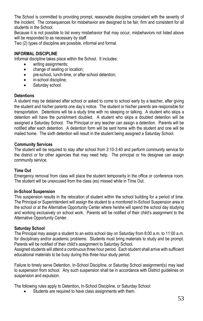The School is committed to providing prompt, reasonable discipline consistent with the severity of the incident. The consequences for misbehavior are designed to be fair, firm and consistent for all students in the School.

Because it is not possible to list every misbehavior that may occur, misbehaviors not listed above will be responded to as necessary by staff.

Two (2) types of discipline are possible, informal and formal.

#### **INFORMAL DISCIPLINE**

Informal discipline takes place within the School. It includes:

- writing assignments;
- change of seating or location;
- pre-school, lunch-time, or after-school detention;
- in-school discipline;
- Saturday school.

#### **Detentions**

A student may be detained after school or asked to come to school early by a teacher, after giving the student and his/her parents one day's notice. The student or his/her parents are responsible for transportation. Detentions will be a study time with no sleeping or talking. A student who skips a detention will have the punishment doubled. A student who skips a doubled detention will be assigned a Saturday School. The Principal or any teacher can assign a detention. Parents will be notified after each detention. A detention form will be sent home with the student and one will be mailed home. The sixth detention will result in the student being assigned a Saturday School.

#### **Community Services**

The student will be required to stay after school from 3:10-3:40 and perform community service for the district or for other agencies that may need help. The principal or his designee can assign community service.

#### **Time Out**

Emergency removal from class will place the student temporarily in the office or conference room. The student will be unexcused from the class (es) missed while in Time Out.

#### **In-School Suspension**

This suspension results in the relocation of student within the school building for a period of time. The Principal or Superintendent will assign the student to a monitored In-School Suspension area in the school or at the Alternative Opportunity Center where he/she will spend the school day studying and working exclusively on school work. Parents will be notified of their child's assignment to the Alternative Opportunity Center.

#### **Saturday School**

The Principal may assign a student to an extra school day on Saturday from 8:00 a.m. to 11:00 a.m. for disciplinary and/or academic problems. Students must bring materials to study and be prompt. Parents will be notified of their child's assignment to Saturday School.

Assigned students will attend a continuous three hour period. Each student shall arrive with sufficient educational materials to be busy during this three hour study period.

Failure to timely serve Detention, In-School Discipline, or Saturday School assignment(s) may lead to suspension from school. Any such suspension shall be in accordance with District guidelines on suspension and expulsion.

The following rules apply to Detention**,** In-School Discipline, or Saturday School:

Students are required to have class assignments with them.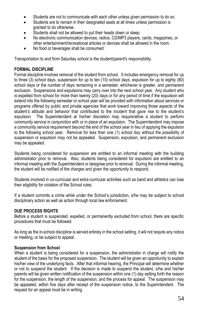- Students are not to communicate with each other unless given permission to do so.
- Students are to remain in their designated seats at all times unless permission is granted to do otherwise.
- Students shall not be allowed to put their heads down or sleep.
- No electronic communication devices, radios, CD/MP3 players, cards, magazines, or other entertainment/recreational articles or devices shall be allowed in the room.
- No food or beverages shall be consumed.

Transportation to and from Saturday school is the student/parent's responsibility.

#### **FORMAL DISCIPLINE**

Formal discipline involves removal of the student from school. It includes emergency removal for up to three (3) school days, suspension for up to ten (10) school days, expulsion for up to eighty (80) school days or the number of days remaining in a semester, whichever is greater, and permanent exclusion. Suspensions and expulsions may carry over into the next school year. Any student who is expelled from school for more than twenty (20) days or for any period of time if the expulsion will extend into the following semester or school year will be provided with information about services or programs offered by public and private agencies that work toward improving those aspects of the student's attitude and behavior that contributed to the incident that gave rise to the student's expulsion. The Superintendent at his/her discretion may require/allow a student to perform community service in conjunction with or in place of an expulsion. The Superintendent may impose a community service requirement beyond the end of the school year in lieu of applying the expulsion to the following school year. Removal for less than one (1) school day without the possibility of suspension or expulsion may not be appealed. Suspension, expulsion, and permanent exclusion may be appealed.

Students being considered for suspension are entitled to an informal meeting with the building administrator prior to removal*.* Also, students being considered for expulsion are entitled to an informal meeting with the Superintendent or designee prior to removal. During the informal meeting, the student will be notified of the charges and given the opportunity to respond.

Students involved in co-curricular and extra-curricular activities such as band and athletics can lose their eligibility for violation of the School rules.

If a student commits a crime while under the School's jurisdiction, s/he may be subject to school disciplinary action as well as action through local law enforcement.

#### **DUE PROCESS RIGHTS**

Before a student is suspended, expelled, or permanently excluded from school, there are specific procedures that must be followed.

As long as the in-school discipline is served entirely in the school setting, it will not require any notice or meeting, or be subject to appeal.

#### **Suspension from School**

When a student is being considered for a suspension, the administrator in charge will notify the student of the basis for the proposed suspension. The student will be given an opportunity to explain his/her view of the underlying facts. After that informal hearing, the Principal will determine whether or not to suspend the student. If the decision is made to suspend the student, s/he and his/her parents will be given written notification of the suspension within one (1) day setting forth the reason for the suspension, the length of the suspension, and the process for appeal. The suspension may be appealed, within five days after receipt of the suspension notice, to the Superintendent. The request for an appeal must be in writing.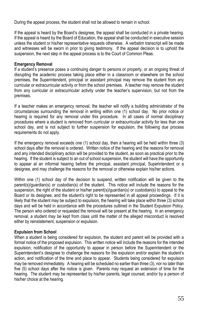During the appeal process, the student shall not be allowed to remain in school.

If the appeal is heard by the Board's designee, the appeal shall be conducted in a private hearing. If the appeal is heard by the Board of Education, the appeal shall be conducted in executive session unless the student or his/her representative requests otherwise. A verbatim transcript will be made and witnesses will be sworn in prior to giving testimony. If the appeal decision is to uphold the suspension, the next step in the appeal process is to the Court of Common Pleas.

#### **Emergency Removal**

If a student's presence poses a continuing danger to persons or property, or an ongoing threat of disrupting the academic process taking place either in a classroom or elsewhere on the school premises, the Superintendent, principal or assistant principal may remove the student from any curricular or extracurricular activity or from the school premises. A teacher may remove the student from any curricular or extracurricular activity under the teacher's supervision, but not from the premises.

If a teacher makes an emergency removal, the teacher will notify a building administrator of the circumstances surrounding the removal in writing within one (1) school day. No prior notice or hearing is required for any removal under this procedure. In all cases of normal disciplinary procedures where a student is removed from curricular or extracurricular activity for less than one school day, and is not subject to further suspension for expulsion, the following due process requirements do not apply.

If the emergency removal exceeds one (1) school day, then a hearing will be held within three (3) school days after the removal is ordered. Written notice of the hearing and the reasons for removal and any intended disciplinary action will be provided to the student, as soon as practical prior to the hearing. If the student is subject to an out of school suspension, the student will have the opportunity to appear at an informal hearing before the principal, assistant principal, Superintendent or a designee, and may challenge the reasons for the removal or otherwise explain his/her actions.

Within one (1) school day of the decision to suspend, written notification will be given to the parent(s)/guardian(s) or custodian(s) of the student. This notice will include the reasons for the suspension, the right of the student or his/her parent(s)/guardian(s) or custodian(s) to appeal to the Board or its designee, and the student's right to be represented in all appeal proceedings. If it is likely that the student may be subject to expulsion, the hearing will take place within three (3) school days and will be held in accordance with the procedures outlined in the Student Expulsion Policy. The person who ordered or requested the removal will be present at the hearing. In an emergency removal, a student may be kept from class until the matter of the alleged misconduct is resolved either by reinstatement, suspension or expulsion.

#### **Expulsion from School**

When a student is being considered for expulsion, the student and parent will be provided with a formal notice of the proposed expulsion. This written notice will include the reasons for the intended expulsion, notification of the opportunity to appear in person before the Superintendent or the Superintendent's designee to challenge the reasons for the expulsion and/or explain the student's action, and notification of the time and place to appear. Students being considered for expulsion may be removed immediately. A hearing will be scheduled no earlier than three (3), nor no later than five (5) school days after the notice is given. Parents may request an extension of time for the hearing. The student may be represented by his/her parents, legal counsel, and/or by a person of his/her choice at the hearing.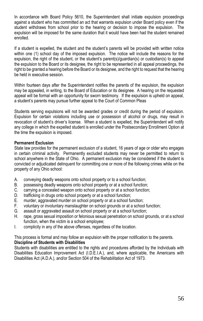In accordance with Board Policy 5610, the Superintendent shall initiate expulsion proceedings against a student who has committed an act that warrants expulsion under Board policy even if the student withdraws from school prior to the hearing or decision to impose the expulsion. The expulsion will be imposed for the same duration that it would have been had the student remained enrolled.

If a student is expelled, the student and the student's parents will be provided with written notice within one (1) school day of the imposed expulsion. The notice will include the reasons for the expulsion, the right of the student, or the student's parent(s)/guardian(s) or custodian(s) to appeal the expulsion to the Board or its designee, the right to be represented in all appeal proceedings, the right to be granted a hearing before the Board or its designee, and the right to request that the hearing be held in executive session.

Within fourteen days after the Superintendent notifies the parents of the expulsion, the expulsion may be appealed, in writing, to the Board of Education or its designee. A hearing on the requested appeal will be formal with an opportunity for sworn testimony. If the expulsion is upheld on appeal, a student's parents may pursue further appeal to the Court of Common Pleas

Students serving expulsions will not be awarded grades or credit during the period of expulsion. Expulsion for certain violations including use or possession of alcohol or drugs, may result in revocation of student's driver's license. When a student is expelled, the Superintendent will notify any college in which the expelled student is enrolled under the Postsecondary Enrollment Option at the time the expulsion is imposed.

#### **Permanent Exclusion**

State law provides for the permanent exclusion of a student, 16 years of age or older who engages in certain criminal activity. Permanently excluded students may never be permitted to return to school anywhere in the State of Ohio. A permanent exclusion may be considered if the student is convicted or adjudicated delinquent for committing one or more of the following crimes while on the property of any Ohio school:

- A. conveying deadly weapons onto school property or to a school function;
- B. possessing deadly weapons onto school property or at a school function;<br>C. carrying a concealed weapon onto school property or at a school function
- C. carrying a concealed weapon onto school property or at a school function;<br>D. trafficking in drugs onto school property or at a school function;
- trafficking in drugs onto school property or at a school function;
- E. murder, aggravated murder on school property or at a school function;<br>F. voluntary or involuntary manslaughter on school grounds or at a school
- voluntary or involuntary manslaughter on school grounds or at a school function;
- G. assault or aggravated assault on school property or at a school function;
- H. rape, gross sexual imposition or felonious sexual penetration on school grounds, or at a school function, when the victim is a school employee;
- I. complicity in any of the above offenses, regardless of the location.

This process is formal and may follow an expulsion with the proper notification to the parents.

#### **Discipline of Students with Disabilities**

Students with disabilities are entitled to the rights and procedures afforded by the Individuals with Disabilities Education Improvement Act (I.D.E.I.A.), and, where applicable, the Americans with Disabilities Act (A.D.A.), and/or Section 504 of the Rehabilitation Act of 1973.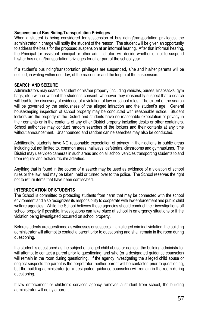#### **Suspension of Bus Riding/Transportation Privileges**

When a student is being considered for suspension of bus riding/transportation privileges, the administrator in charge will notify the student of the reason. The student will be given an opportunity to address the basis for the proposed suspension at an informal hearing. After that informal hearing, the Principal [or assistant principal or other administrator] will decide whether or not to suspend his/her bus riding/transportation privileges for all or part of the school year.

If a student's bus riding/transportation privileges are suspended, s/he and his/her parents will be notified, in writing within one day, of the reason for and the length of the suspension.

#### **SEARCH AND SEIZURE**

Administrators may search a student or his/her property (including vehicles, purses, knapsacks, gym bags, etc.) with or without the student's consent, whenever they reasonably suspect that a search will lead to the discovery of evidence of a violation of law or school rules. The extent of the search will be governed by the seriousness of the alleged infraction and the student's age. General housekeeping inspection of school property may be conducted with reasonable notice. Student lockers are the property of the District and students have no reasonable expectation of privacy in their contents or in the contents of any other District property including desks or other containers. School authorities may conduct random searches of the lockers and their contents at any time without announcement. Unannounced and random canine searches may also be conducted.

Additionally, students have NO reasonable expectation of privacy in their actions in public areas including but not limited to, common areas, hallways, cafeterias, classrooms and gymnasiums. The District may use video cameras in such areas and on all school vehicles transporting students to and from regular and extracurricular activities.

Anything that is found in the course of a search may be used as evidence of a violation of school rules or the law, and may be taken, held or turned over to the police. The School reserves the right not to return items that have been confiscated.

#### **INTERROGATION OF STUDENTS**

The School is committed to protecting students from harm that may be connected with the school environment and also recognizes its responsibility to cooperate with law enforcement and public child welfare agencies. While the School believes these agencies should conduct their investigations off school property if possible, investigations can take place at school in emergency situations or if the violation being investigated occurred on school property.

Before students are questioned as witnesses or suspects in an alleged criminal violation, the building administrator will attempt to contact a parent prior to questioning and shall remain in the room during questioning.

If a student is questioned as the subject of alleged child abuse or neglect, the building administrator will attempt to contact a parent prior to questioning, and s/he (or a designated guidance counselor) will remain in the room during questioning. If the agency investigating the alleged child abuse or neglect suspects the parent is the perpetrator, neither parent will be contacted prior to questioning, but the building administrator (or a designated guidance counselor) will remain in the room during questioning.

If law enforcement or children's services agency removes a student from school, the building administrator will notify a parent.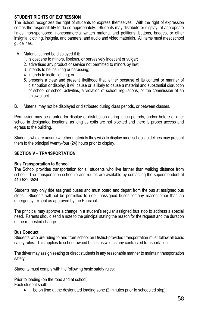#### **STUDENT RIGHTS OF EXPRESSION**

The School recognizes the right of students to express themselves. With the right of expression comes the responsibility to do so appropriately. Students may distribute or display, at appropriate times, non-sponsored, noncommercial written material and petitions; buttons, badges, or other insignia; clothing, insignia, and banners; and audio and video materials. All items must meet school guidelines.

- A. Material cannot be displayed if it:
	- 1. is obscene to minors, libelous, or pervasively indecent or vulgar;
	- 2. advertises any product or service not permitted to minors by law;
	- 3. intends to be insulting or harassing;
	- 4. intends to incite fighting; or
	- 5. presents a clear and present likelihood that, either because of its content or manner of distribution or display, it will cause or is likely to cause a material and substantial disruption of school or school activities, a violation of school regulations, or the commission of an unlawful act.
- B. Material may not be displayed or distributed during class periods, or between classes.

Permission may be granted for display or distribution during lunch periods, and/or before or after school in designated locations, as long as exits are not blocked and there is proper access and egress to the building.

Students who are unsure whether materials they wish to display meet school guidelines may present them to the principal twenty-four (24) hours prior to display.

#### **SECTION V – TRANSPORTATION**

#### **Bus Transportation to School**

The School provides transportation for all students who live farther than walking distance from school. The transportation schedule and routes are available by contacting the superintendent at 419-532-3534.

Students may only ride assigned buses and must board and depart from the bus at assigned bus stops. Students will not be permitted to ride unassigned buses for any reason other than an emergency, except as approved by the Principal.

The principal may approve a change in a student's regular assigned bus stop to address a special need. Parents should send a note to the principal stating the reason for the request and the duration of the requested change.

#### **Bus Conduct**

Students who are riding to and from school on District-provided transportation must follow all basic safety rules. This applies to school-owned buses as well as any contracted transportation.

The driver may assign seating or direct students in any reasonable manner to maintain transportation safety.

Students must comply with the following basic safety rules:

Prior to loading (on the road and at school)

Each student shall:

be on time at the designated loading zone (2 minutes prior to scheduled stop);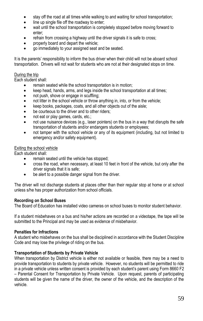- stay off the road at all times while walking to and waiting for school transportation;
- line up single file off the roadway to enter;
- wait until the school transportation is completely stopped before moving forward to enter;
- refrain from crossing a highway until the driver signals it is safe to cross;
- properly board and depart the vehicle;
- go immediately to your assigned seat and be seated.

It is the parents' responsibility to inform the bus driver when their child will not be aboard school transportation. Drivers will not wait for students who are not at their designated stops on time.

#### During the trip

Each student shall:

- remain seated while the school transportation is in motion;
- keep head, hands, arms, and legs inside the school transportation at all times;
- not push, shove or engage in scuffling;
- not litter in the school vehicle or throw anything in, into, or from the vehicle;
- keep books, packages, coats, and all other objects out of the aisle;
- be courteous to the driver and to other riders;
- not eat or play games, cards, etc.;
- not use nuisance devices (e.g., laser pointers) on the bus in a way that disrupts the safe transportation of students and/or endangers students or employees;
- not tamper with the school vehicle or any of its equipment (including, but not limited to emergency and/or safety equipment).

#### Exiting the school vehicle

Each student shall:

- remain seated until the vehicle has stopped;
- cross the road, when necessary, at least 10 feet in front of the vehicle, but only after the driver signals that it is safe;
- be alert to a possible danger signal from the driver.

The driver will not discharge students at places other than their regular stop at home or at school unless s/he has proper authorization from school officials.

#### **Recording on School Buses**

The Board of Education has installed video cameras on school buses to monitor student behavior.

If a student misbehaves on a bus and his/her actions are recorded on a videotape, the tape will be submitted to the Principal and may be used as evidence of misbehavior.

#### **Penalties for Infractions**

A student who misbehaves on the bus shall be disciplined in accordance with the Student Discipline Code and may lose the privilege of riding on the bus.

#### **Transportation of Students by Private Vehicle**

When transportation by District vehicle is either not available or feasible, there may be a need to provide transportation to students by private vehicle. However, no students will be permitted to ride in a private vehicle unless written consent is provided by each student's parent using Form 8660 F2 – Parental Consent for Transportation by Private Vehicle. Upon request, parents of participating students will be given the name of the driver, the owner of the vehicle, and the description of the vehicle.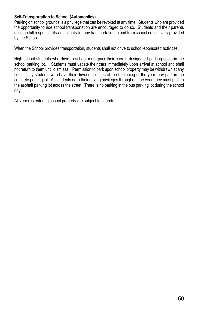#### **Self-Transportation to School (Automobiles)**

Parking on school grounds is a privilege that can be revoked at any time. Students who are provided the opportunity to ride school transportation are encouraged to do so. Students and their parents assume full responsibility and liability for any transportation to and from school not officially provided by the School.

When the School provides transportation, students shall not drive to school-sponsored activities.

High school students who drive to school must park their cars in designated parking spots in the school parking lot. Students must vacate their cars immediately upon arrival at school and shall not return to them until dismissal. Permission to park upon school property may be withdrawn at any time. Only students who have their driver's licenses at the beginning of the year may park in the concrete parking lot. As students earn their driving privileges throughout the year, they must park in the asphalt parking lot across the street. There is no parking in the bus parking lot during the school day.

All vehicles entering school property are subject to search.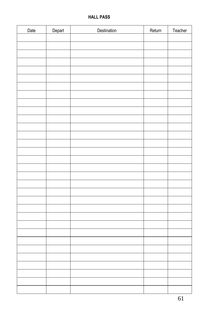#### **HALL PASS**

| Date | Depart | Destination | Return | Teacher |
|------|--------|-------------|--------|---------|
|      |        |             |        |         |
|      |        |             |        |         |
|      |        |             |        |         |
|      |        |             |        |         |
|      |        |             |        |         |
|      |        |             |        |         |
|      |        |             |        |         |
|      |        |             |        |         |
|      |        |             |        |         |
|      |        |             |        |         |
|      |        |             |        |         |
|      |        |             |        |         |
|      |        |             |        |         |
|      |        |             |        |         |
|      |        |             |        |         |
|      |        |             |        |         |
|      |        |             |        |         |
|      |        |             |        |         |
|      |        |             |        |         |
|      |        |             |        |         |
|      |        |             |        |         |
|      |        |             |        |         |
|      |        |             |        |         |
|      |        |             |        |         |
|      |        |             |        |         |
|      |        |             |        |         |
|      |        |             |        |         |
|      |        |             |        |         |
|      |        |             |        |         |
|      |        |             |        |         |
|      |        |             |        |         |
|      |        |             |        |         |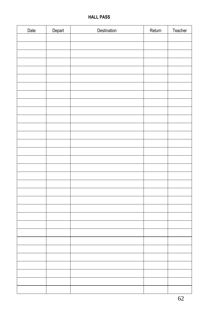#### **HALL PASS**

| Date | Depart | Destination | Return | Teacher |
|------|--------|-------------|--------|---------|
|      |        |             |        |         |
|      |        |             |        |         |
|      |        |             |        |         |
|      |        |             |        |         |
|      |        |             |        |         |
|      |        |             |        |         |
|      |        |             |        |         |
|      |        |             |        |         |
|      |        |             |        |         |
|      |        |             |        |         |
|      |        |             |        |         |
|      |        |             |        |         |
|      |        |             |        |         |
|      |        |             |        |         |
|      |        |             |        |         |
|      |        |             |        |         |
|      |        |             |        |         |
|      |        |             |        |         |
|      |        |             |        |         |
|      |        |             |        |         |
|      |        |             |        |         |
|      |        |             |        |         |
|      |        |             |        |         |
|      |        |             |        |         |
|      |        |             |        |         |
|      |        |             |        |         |
|      |        |             |        |         |
|      |        |             |        |         |
|      |        |             |        |         |
|      |        |             |        |         |
|      |        |             |        |         |
|      |        |             |        |         |